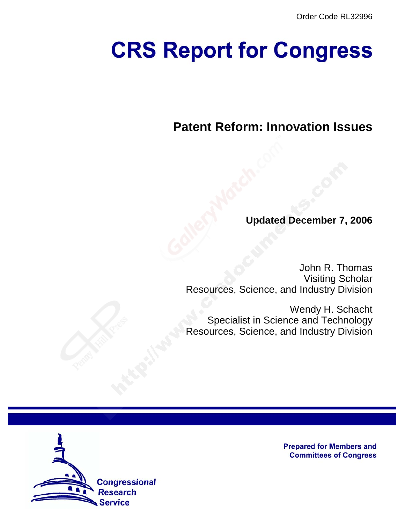# **CRS Report for Congress**

**Patent Reform: Innovation Issues**

**Updated December 7, 2006**

John R. Thomas Visiting Scholar Resources, Science, and Industry Division

Wendy H. Schacht Specialist in Science and Technology Resources, Science, and Industry Division



**Prepared for Members and Committees of Congress**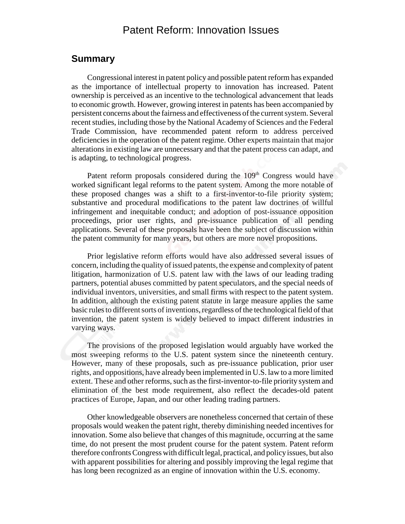## Patent Reform: Innovation Issues

### **Summary**

Congressional interest in patent policy and possible patent reform has expanded as the importance of intellectual property to innovation has increased. Patent ownership is perceived as an incentive to the technological advancement that leads to economic growth. However, growing interest in patents has been accompanied by persistent concerns about the fairness and effectiveness of the current system. Several recent studies, including those by the National Academy of Sciences and the Federal Trade Commission, have recommended patent reform to address perceived deficiencies in the operation of the patent regime. Other experts maintain that major alterations in existing law are unnecessary and that the patent process can adapt, and is adapting, to technological progress.

Patent reform proposals considered during the 109<sup>th</sup> Congress would have worked significant legal reforms to the patent system. Among the more notable of these proposed changes was a shift to a first-inventor-to-file priority system; substantive and procedural modifications to the patent law doctrines of willful infringement and inequitable conduct; and adoption of post-issuance opposition proceedings, prior user rights, and pre-issuance publication of all pending applications. Several of these proposals have been the subject of discussion within the patent community for many years, but others are more novel propositions.

Prior legislative reform efforts would have also addressed several issues of concern, including the quality of issued patents, the expense and complexity of patent litigation, harmonization of U.S. patent law with the laws of our leading trading partners, potential abuses committed by patent speculators, and the special needs of individual inventors, universities, and small firms with respect to the patent system. In addition, although the existing patent statute in large measure applies the same basic rules to different sorts of inventions, regardless of the technological field of that invention, the patent system is widely believed to impact different industries in varying ways.

The provisions of the proposed legislation would arguably have worked the most sweeping reforms to the U.S. patent system since the nineteenth century. However, many of these proposals, such as pre-issuance publication, prior user rights, and oppositions, have already been implemented in U.S. law to a more limited extent. These and other reforms, such as the first-inventor-to-file priority system and elimination of the best mode requirement, also reflect the decades-old patent practices of Europe, Japan, and our other leading trading partners.

Other knowledgeable observers are nonetheless concerned that certain of these proposals would weaken the patent right, thereby diminishing needed incentives for innovation. Some also believe that changes of this magnitude, occurring at the same time, do not present the most prudent course for the patent system. Patent reform therefore confronts Congress with difficult legal, practical, and policy issues, but also with apparent possibilities for altering and possibly improving the legal regime that has long been recognized as an engine of innovation within the U.S. economy.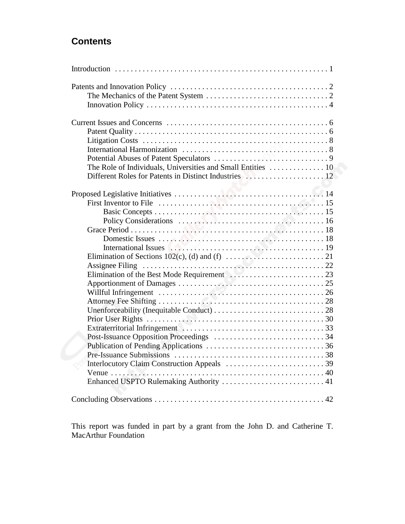## **Contents**

This report was funded in part by a grant from the John D. and Catherine T. MacArthur Foundation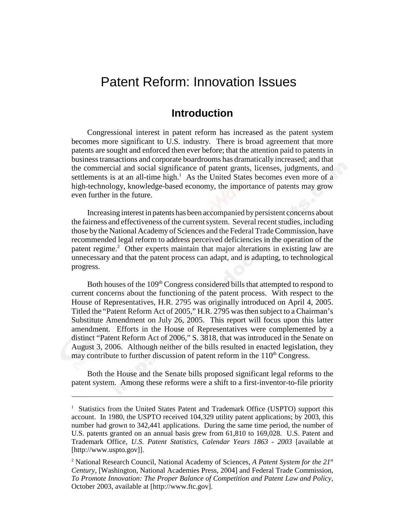# Patent Reform: Innovation Issues

## **Introduction**

Congressional interest in patent reform has increased as the patent system becomes more significant to U.S. industry. There is broad agreement that more patents are sought and enforced then ever before; that the attention paid to patents in business transactions and corporate boardrooms has dramatically increased; and that the commercial and social significance of patent grants, licenses, judgments, and settlements is at an all-time high. $<sup>1</sup>$  As the United States becomes even more of a</sup> high-technology, knowledge-based economy, the importance of patents may grow even further in the future.

Increasing interest in patents has been accompanied by persistent concerns about the fairness and effectiveness of the current system. Several recent studies, including those by the National Academy of Sciences and the Federal Trade Commission, have recommended legal reform to address perceived deficiencies in the operation of the patent regime.<sup>2</sup> Other experts maintain that major alterations in existing law are unnecessary and that the patent process can adapt, and is adapting, to technological progress.

Both houses of the 109<sup>th</sup> Congress considered bills that attempted to respond to current concerns about the functioning of the patent process. With respect to the House of Representatives, H.R. 2795 was originally introduced on April 4, 2005. Titled the "Patent Reform Act of 2005," H.R. 2795 was then subject to a Chairman's Substitute Amendment on July 26, 2005. This report will focus upon this latter amendment. Efforts in the House of Representatives were complemented by a distinct "Patent Reform Act of 2006," S. 3818, that was introduced in the Senate on August 3, 2006. Although neither of the bills resulted in enacted legislation, they may contribute to further discussion of patent reform in the  $110<sup>th</sup>$  Congress.

Both the House and the Senate bills proposed significant legal reforms to the patent system. Among these reforms were a shift to a first-inventor-to-file priority

<sup>&</sup>lt;sup>1</sup> Statistics from the United States Patent and Trademark Office (USPTO) support this account. In 1980, the USPTO received 104,329 utility patent applications; by 2003, this number had grown to 342,441 applications. During the same time period, the number of U.S. patents granted on an annual basis grew from 61,810 to 169,028. U.S. Patent and Trademark Office, *U.S. Patent Statistics, Calendar Years 1863 - 2003* [available at [http://www.uspto.gov]].

<sup>&</sup>lt;sup>2</sup> National Research Council, National Academy of Sciences, *A Patent System for the 21st Century*, [Washington, National Academies Press, 2004] and Federal Trade Commission, *To Promote Innovation: The Proper Balance of Competition and Patent Law and Policy*, October 2003, available at [http://www.ftc.gov].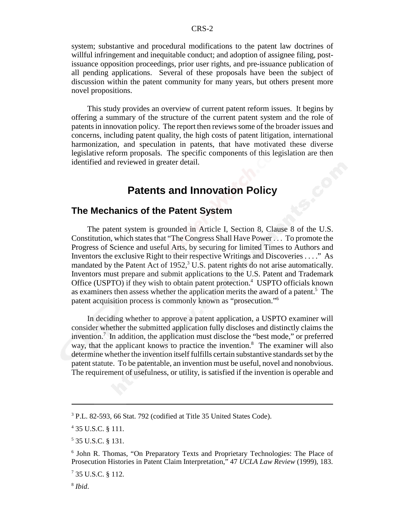system; substantive and procedural modifications to the patent law doctrines of willful infringement and inequitable conduct; and adoption of assignee filing, postissuance opposition proceedings, prior user rights, and pre-issuance publication of all pending applications. Several of these proposals have been the subject of discussion within the patent community for many years, but others present more novel propositions.

This study provides an overview of current patent reform issues. It begins by offering a summary of the structure of the current patent system and the role of patents in innovation policy. The report then reviews some of the broader issues and concerns, including patent quality, the high costs of patent litigation, international harmonization, and speculation in patents, that have motivated these diverse legislative reform proposals. The specific components of this legislation are then identified and reviewed in greater detail.

## **Patents and Innovation Policy**

#### **The Mechanics of the Patent System**

The patent system is grounded in Article I, Section 8, Clause 8 of the U.S. Constitution, which states that "The Congress Shall Have Power . . . To promote the Progress of Science and useful Arts, by securing for limited Times to Authors and Inventors the exclusive Right to their respective Writings and Discoveries . . . ." As mandated by the Patent Act of  $1952$ ,<sup>3</sup> U.S. patent rights do not arise automatically. Inventors must prepare and submit applications to the U.S. Patent and Trademark Office (USPTO) if they wish to obtain patent protection.<sup>4</sup> USPTO officials known as examiners then assess whether the application merits the award of a patent.<sup>5</sup> The patent acquisition process is commonly known as "prosecution."6

In deciding whether to approve a patent application, a USPTO examiner will consider whether the submitted application fully discloses and distinctly claims the invention.<sup>7</sup> In addition, the application must disclose the "best mode," or preferred way, that the applicant knows to practice the invention.<sup>8</sup> The examiner will also determine whether the invention itself fulfills certain substantive standards set by the patent statute. To be patentable, an invention must be useful, novel and nonobvious. The requirement of usefulness, or utility, is satisfied if the invention is operable and

<sup>3</sup> P.L. 82-593, 66 Stat. 792 (codified at Title 35 United States Code).

<sup>4</sup> 35 U.S.C. § 111.

<sup>5</sup> 35 U.S.C. § 131.

<sup>&</sup>lt;sup>6</sup> John R. Thomas, "On Preparatory Texts and Proprietary Technologies: The Place of Prosecution Histories in Patent Claim Interpretation," 47 *UCLA Law Review* (1999), 183.

<sup>7</sup> 35 U.S.C. § 112.

<sup>8</sup> *Ibid*.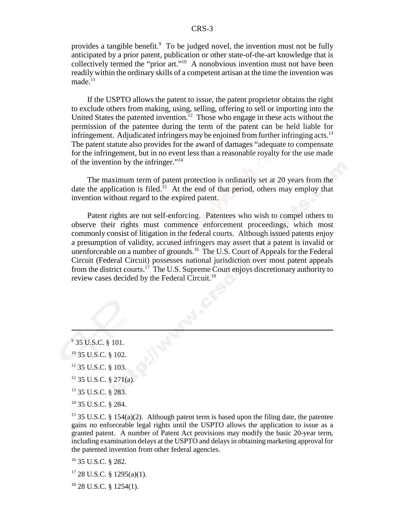provides a tangible benefit.<sup>9</sup> To be judged novel, the invention must not be fully anticipated by a prior patent, publication or other state-of-the-art knowledge that is collectively termed the "prior art."10 A nonobvious invention must not have been readily within the ordinary skills of a competent artisan at the time the invention was made. $11$ 

If the USPTO allows the patent to issue, the patent proprietor obtains the right to exclude others from making, using, selling, offering to sell or importing into the United States the patented invention.<sup>12</sup> Those who engage in these acts without the permission of the patentee during the term of the patent can be held liable for infringement. Adjudicated infringers may be enjoined from further infringing acts.<sup>13</sup> The patent statute also provides for the award of damages "adequate to compensate for the infringement, but in no event less than a reasonable royalty for the use made of the invention by the infringer."14

The maximum term of patent protection is ordinarily set at 20 years from the date the application is filed.<sup>15</sup> At the end of that period, others may employ that invention without regard to the expired patent.

Patent rights are not self-enforcing. Patentees who wish to compel others to observe their rights must commence enforcement proceedings, which most commonly consist of litigation in the federal courts. Although issued patents enjoy a presumption of validity, accused infringers may assert that a patent is invalid or unenforceable on a number of grounds.<sup>16</sup> The U.S. Court of Appeals for the Federal Circuit (Federal Circuit) possesses national jurisdiction over most patent appeals from the district courts.17 The U.S. Supreme Court enjoys discretionary authority to review cases decided by the Federal Circuit.<sup>18</sup>

- 12 35 U.S.C. § 271(a).
- 13 35 U.S.C. § 283.
- 14 35 U.S.C. § 284.

<sup>15</sup> 35 U.S.C. § 154(a)(2). Although patent term is based upon the filing date, the patentee gains no enforceable legal rights until the USPTO allows the application to issue as a granted patent. A number of Patent Act provisions may modify the basic 20-year term, including examination delays at the USPTO and delays in obtaining marketing approval for the patented invention from other federal agencies.

16 35 U.S.C. § 282.

<sup>9</sup> 35 U.S.C. § 101.

<sup>10 35</sup> U.S.C. § 102.

<sup>&</sup>lt;sup>11</sup> 35 U.S.C. § 103.

 $17$  28 U.S.C. § 1295(a)(1).

 $18$  28 U.S.C. § 1254(1).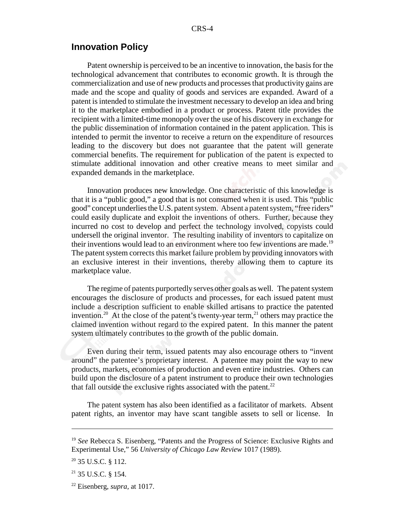## **Innovation Policy**

Patent ownership is perceived to be an incentive to innovation, the basis for the technological advancement that contributes to economic growth. It is through the commercialization and use of new products and processes that productivity gains are made and the scope and quality of goods and services are expanded. Award of a patent is intended to stimulate the investment necessary to develop an idea and bring it to the marketplace embodied in a product or process. Patent title provides the recipient with a limited-time monopoly over the use of his discovery in exchange for the public dissemination of information contained in the patent application. This is intended to permit the inventor to receive a return on the expenditure of resources leading to the discovery but does not guarantee that the patent will generate commercial benefits. The requirement for publication of the patent is expected to stimulate additional innovation and other creative means to meet similar and expanded demands in the marketplace.

Innovation produces new knowledge. One characteristic of this knowledge is that it is a "public good," a good that is not consumed when it is used. This "public good" concept underlies the U.S. patent system. Absent a patent system, "free riders" could easily duplicate and exploit the inventions of others. Further, because they incurred no cost to develop and perfect the technology involved, copyists could undersell the original inventor. The resulting inability of inventors to capitalize on their inventions would lead to an environment where too few inventions are made.<sup>19</sup> The patent system corrects this market failure problem by providing innovators with an exclusive interest in their inventions, thereby allowing them to capture its marketplace value.

The regime of patents purportedly serves other goals as well. The patent system encourages the disclosure of products and processes, for each issued patent must include a description sufficient to enable skilled artisans to practice the patented invention.<sup>20</sup> At the close of the patent's twenty-year term,<sup>21</sup> others may practice the claimed invention without regard to the expired patent. In this manner the patent system ultimately contributes to the growth of the public domain.

Even during their term, issued patents may also encourage others to "invent around" the patentee's proprietary interest. A patentee may point the way to new products, markets, economies of production and even entire industries. Others can build upon the disclosure of a patent instrument to produce their own technologies that fall outside the exclusive rights associated with the patent. $^{22}$ 

The patent system has also been identified as a facilitator of markets. Absent patent rights, an inventor may have scant tangible assets to sell or license. In

<sup>19</sup> *See* Rebecca S. Eisenberg, "Patents and the Progress of Science: Exclusive Rights and Experimental Use," 56 *University of Chicago Law Review* 1017 (1989).

<sup>20 35</sup> U.S.C. § 112.

 $21$  35 U.S.C. § 154.

<sup>22</sup> Eisenberg, *supra,* at 1017.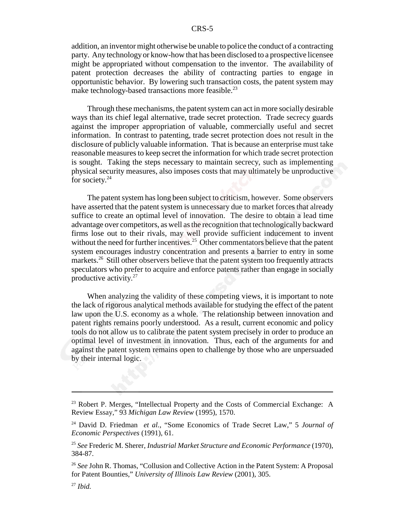addition, an inventor might otherwise be unable to police the conduct of a contracting party. Any technology or know-how that has been disclosed to a prospective licensee might be appropriated without compensation to the inventor. The availability of patent protection decreases the ability of contracting parties to engage in opportunistic behavior. By lowering such transaction costs, the patent system may make technology-based transactions more feasible.<sup>23</sup>

Through these mechanisms, the patent system can act in more socially desirable ways than its chief legal alternative, trade secret protection. Trade secrecy guards against the improper appropriation of valuable, commercially useful and secret information. In contrast to patenting, trade secret protection does not result in the disclosure of publicly valuable information. That is because an enterprise must take reasonable measures to keep secret the information for which trade secret protection is sought. Taking the steps necessary to maintain secrecy, such as implementing physical security measures, also imposes costs that may ultimately be unproductive for society. $24$ 

The patent system has long been subject to criticism, however. Some observers have asserted that the patent system is unnecessary due to market forces that already suffice to create an optimal level of innovation. The desire to obtain a lead time advantage over competitors, as well as the recognition that technologically backward firms lose out to their rivals, may well provide sufficient inducement to invent without the need for further incentives.<sup>25</sup> Other commentators believe that the patent system encourages industry concentration and presents a barrier to entry in some markets.<sup>26</sup> Still other observers believe that the patent system too frequently attracts speculators who prefer to acquire and enforce patents rather than engage in socially productive activity.27

When analyzing the validity of these competing views, it is important to note the lack of rigorous analytical methods available for studying the effect of the patent law upon the U.S. economy as a whole. The relationship between innovation and patent rights remains poorly understood. As a result, current economic and policy tools do not allow us to calibrate the patent system precisely in order to produce an optimal level of investment in innovation. Thus, each of the arguments for and against the patent system remains open to challenge by those who are unpersuaded by their internal logic.

<sup>&</sup>lt;sup>23</sup> Robert P. Merges, "Intellectual Property and the Costs of Commercial Exchange: A Review Essay," 93 *Michigan Law Review* (1995), 1570.

<sup>24</sup> David D. Friedman *et al.*, "Some Economics of Trade Secret Law," 5 *Journal of Economic Perspectives* (1991), 61.

<sup>25</sup> *See* Frederic M. Sherer, *Industrial Market Structure and Economic Performance* (1970), 384-87.

<sup>&</sup>lt;sup>26</sup> See John R. Thomas, "Collusion and Collective Action in the Patent System: A Proposal for Patent Bounties," *University of Illinois Law Review* (2001), 305.

<sup>27</sup> *Ibid.*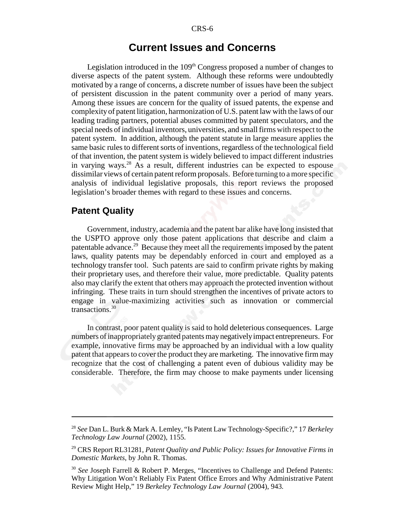## **Current Issues and Concerns**

Legislation introduced in the  $109<sup>th</sup>$  Congress proposed a number of changes to diverse aspects of the patent system. Although these reforms were undoubtedly motivated by a range of concerns, a discrete number of issues have been the subject of persistent discussion in the patent community over a period of many years. Among these issues are concern for the quality of issued patents, the expense and complexity of patent litigation, harmonization of U.S. patent law with the laws of our leading trading partners, potential abuses committed by patent speculators, and the special needs of individual inventors, universities, and small firms with respect to the patent system. In addition, although the patent statute in large measure applies the same basic rules to different sorts of inventions, regardless of the technological field of that invention, the patent system is widely believed to impact different industries in varying ways.<sup>28</sup> As a result, different industries can be expected to espouse dissimilar views of certain patent reform proposals. Before turning to a more specific analysis of individual legislative proposals, this report reviews the proposed legislation's broader themes with regard to these issues and concerns.

#### **Patent Quality**

Government, industry, academia and the patent bar alike have long insisted that the USPTO approve only those patent applications that describe and claim a patentable advance.<sup>29</sup> Because they meet all the requirements imposed by the patent laws, quality patents may be dependably enforced in court and employed as a technology transfer tool. Such patents are said to confirm private rights by making their proprietary uses, and therefore their value, more predictable. Quality patents also may clarify the extent that others may approach the protected invention without infringing. These traits in turn should strengthen the incentives of private actors to engage in value-maximizing activities such as innovation or commercial transactions.30

In contrast, poor patent quality is said to hold deleterious consequences. Large numbers of inappropriately granted patents may negatively impact entrepreneurs. For example, innovative firms may be approached by an individual with a low quality patent that appears to cover the product they are marketing. The innovative firm may recognize that the cost of challenging a patent even of dubious validity may be considerable. Therefore, the firm may choose to make payments under licensing

<sup>28</sup> *See* Dan L. Burk & Mark A. Lemley, "Is Patent Law Technology-Specific?," 17 *Berkeley Technology Law Journal* (2002), 1155.

<sup>29</sup> CRS Report RL31281, *Patent Quality and Public Policy: Issues for Innovative Firms in Domestic Markets*, by John R. Thomas.

<sup>&</sup>lt;sup>30</sup> *See* Joseph Farrell & Robert P. Merges, "Incentives to Challenge and Defend Patents: Why Litigation Won't Reliably Fix Patent Office Errors and Why Administrative Patent Review Might Help," 19 *Berkeley Technology Law Journal* (2004), 943*.*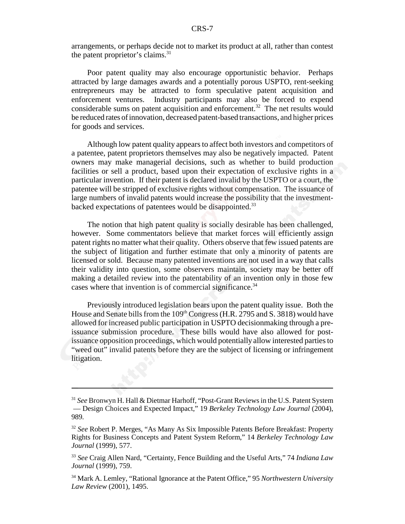arrangements, or perhaps decide not to market its product at all, rather than contest the patent proprietor's claims.<sup>31</sup>

Poor patent quality may also encourage opportunistic behavior. Perhaps attracted by large damages awards and a potentially porous USPTO, rent-seeking entrepreneurs may be attracted to form speculative patent acquisition and enforcement ventures. Industry participants may also be forced to expend considerable sums on patent acquisition and enforcement.<sup>32</sup> The net results would be reduced rates of innovation, decreased patent-based transactions, and higher prices for goods and services.

Although low patent quality appears to affect both investors and competitors of a patentee, patent proprietors themselves may also be negatively impacted. Patent owners may make managerial decisions, such as whether to build production facilities or sell a product, based upon their expectation of exclusive rights in a particular invention. If their patent is declared invalid by the USPTO or a court, the patentee will be stripped of exclusive rights without compensation. The issuance of large numbers of invalid patents would increase the possibility that the investmentbacked expectations of patentees would be disappointed.<sup>33</sup>

The notion that high patent quality is socially desirable has been challenged, however. Some commentators believe that market forces will efficiently assign patent rights no matter what their quality. Others observe that few issued patents are the subject of litigation and further estimate that only a minority of patents are licensed or sold. Because many patented inventions are not used in a way that calls their validity into question, some observers maintain, society may be better off making a detailed review into the patentability of an invention only in those few cases where that invention is of commercial significance. $34$ 

Previously introduced legislation bears upon the patent quality issue. Both the House and Senate bills from the  $109<sup>th</sup> Congress$  (H.R. 2795 and S. 3818) would have allowed for increased public participation in USPTO decisionmaking through a preissuance submission procedure. These bills would have also allowed for postissuance opposition proceedings, which would potentially allow interested parties to "weed out" invalid patents before they are the subject of licensing or infringement litigation.

<sup>31</sup> *See* Bronwyn H. Hall & Dietmar Harhoff, "Post-Grant Reviews in the U.S. Patent System — Design Choices and Expected Impact," 19 *Berkeley Technology Law Journal* (2004), 989*.*

<sup>32</sup> *See* Robert P. Merges, "As Many As Six Impossible Patents Before Breakfast: Property Rights for Business Concepts and Patent System Reform," 14 *Berkeley Technology Law Journal* (1999), 577.

<sup>33</sup> *See* Craig Allen Nard, "Certainty, Fence Building and the Useful Arts," 74 *Indiana Law Journal* (1999), 759.

<sup>34</sup> Mark A. Lemley, "Rational Ignorance at the Patent Office," 95 *Northwestern University Law Review* (2001), 1495.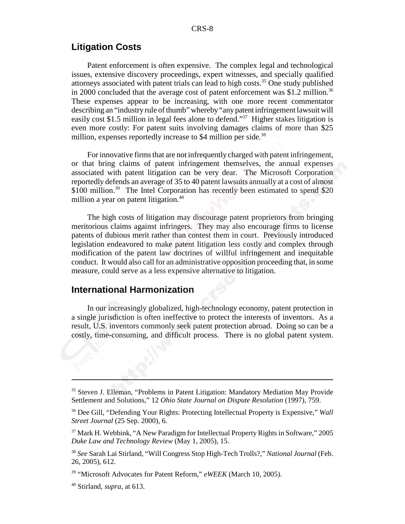## **Litigation Costs**

Patent enforcement is often expensive. The complex legal and technological issues, extensive discovery proceedings, expert witnesses, and specially qualified attorneys associated with patent trials can lead to high costs.<sup>35</sup> One study published in 2000 concluded that the average cost of patent enforcement was \$1.2 million.<sup>36</sup> These expenses appear to be increasing, with one more recent commentator describing an "industry rule of thumb" whereby "any patent infringement lawsuit will easily cost \$1.5 million in legal fees alone to defend."37 Higher stakes litigation is even more costly: For patent suits involving damages claims of more than \$25 million, expenses reportedly increase to \$4 million per side.<sup>38</sup>

For innovative firms that are not infrequently charged with patent infringement, or that bring claims of patent infringement themselves, the annual expenses associated with patent litigation can be very dear. The Microsoft Corporation reportedly defends an average of 35 to 40 patent lawsuits annually at a cost of almost \$100 million.<sup>39</sup> The Intel Corporation has recently been estimated to spend \$20 million a year on patent litigation.<sup>40</sup>

The high costs of litigation may discourage patent proprietors from bringing meritorious claims against infringers. They may also encourage firms to license patents of dubious merit rather than contest them in court. Previously introduced legislation endeavored to make patent litigation less costly and complex through modification of the patent law doctrines of willful infringement and inequitable conduct. It would also call for an administrative opposition proceeding that, in some measure, could serve as a less expensive alternative to litigation.

#### **International Harmonization**

In our increasingly globalized, high-technology economy, patent protection in a single jurisdiction is often ineffective to protect the interests of inventors. As a result, U.S. inventors commonly seek patent protection abroad. Doing so can be a costly, time-consuming, and difficult process. There is no global patent system.

<sup>35</sup> Steven J. Elleman, "Problems in Patent Litigation: Mandatory Mediation May Provide Settlement and Solutions," 12 *Ohio State Journal on Dispute Resolution* (1997), 759.

<sup>36</sup> Dee Gill, "Defending Your Rights: Protecting Intellectual Property is Expensive," *Wall Street Journal* (25 Sep. 2000), 6.

<sup>37</sup> Mark H. Webbink, "A New Paradigm for Intellectual Property Rights in Software," 2005 *Duke Law and Technology Review* (May 1, 2005), 15.

<sup>38</sup> *See* Sarah Lai Stirland, "Will Congress Stop High-Tech Trolls?," *National Journal* (Feb. 26, 2005), 612.

<sup>39 &</sup>quot;Microsoft Advocates for Patent Reform," *eWEEK* (March 10, 2005).

<sup>40</sup> Stirland, *supra*, at 613.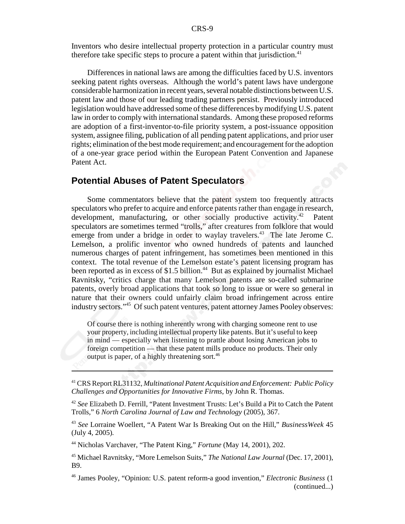Inventors who desire intellectual property protection in a particular country must therefore take specific steps to procure a patent within that jurisdiction.<sup>41</sup>

Differences in national laws are among the difficulties faced by U.S. inventors seeking patent rights overseas. Although the world's patent laws have undergone considerable harmonization in recent years, several notable distinctions between U.S. patent law and those of our leading trading partners persist. Previously introduced legislation would have addressed some of these differences by modifying U.S. patent law in order to comply with international standards. Among these proposed reforms are adoption of a first-inventor-to-file priority system, a post-issuance opposition system, assignee filing, publication of all pending patent applications, and prior user rights; elimination of the best mode requirement; and encouragement for the adoption of a one-year grace period within the European Patent Convention and Japanese Patent Act.

## **Potential Abuses of Patent Speculators**

Some commentators believe that the patent system too frequently attracts speculators who prefer to acquire and enforce patents rather than engage in research, development, manufacturing, or other socially productive activity.<sup>42</sup> Patent speculators are sometimes termed "trolls," after creatures from folklore that would emerge from under a bridge in order to waylay travelers.<sup>43</sup> The late Jerome C. Lemelson, a prolific inventor who owned hundreds of patents and launched numerous charges of patent infringement, has sometimes been mentioned in this context. The total revenue of the Lemelson estate's patent licensing program has been reported as in excess of \$1.5 billion.<sup>44</sup> But as explained by journalist Michael Ravnitsky, "critics charge that many Lemelson patents are so-called submarine patents, overly broad applications that took so long to issue or were so general in nature that their owners could unfairly claim broad infringement across entire industry sectors."45 Of such patent ventures, patent attorney James Pooley observes:

Of course there is nothing inherently wrong with charging someone rent to use your property, including intellectual property like patents. But it's useful to keep in mind — especially when listening to prattle about losing American jobs to foreign competition — that these patent mills produce no products. Their only output is paper, of a highly threatening sort.<sup>46</sup>

44 Nicholas Varchaver, "The Patent King," *Fortune* (May 14, 2001), 202.

<sup>41</sup> CRS Report RL31132, *Multinational Patent Acquisition and Enforcement: Public Policy Challenges and Opportunities for Innovative Firms*, by John R. Thomas.

<sup>42</sup> *See* Elizabeth D. Ferrill, "Patent Investment Trusts: Let's Build a Pit to Catch the Patent Trolls," 6 *North Carolina Journal of Law and Technology* (2005), 367.

<sup>43</sup> *See* Lorraine Woellert, "A Patent War Is Breaking Out on the Hill," *BusinessWeek* 45 (July 4, 2005)*.*

<sup>45</sup> Michael Ravnitsky, "More Lemelson Suits," *The National Law Journal* (Dec. 17, 2001), B9.

<sup>46</sup> James Pooley, "Opinion: U.S. patent reform-a good invention," *Electronic Business* (1 (continued...)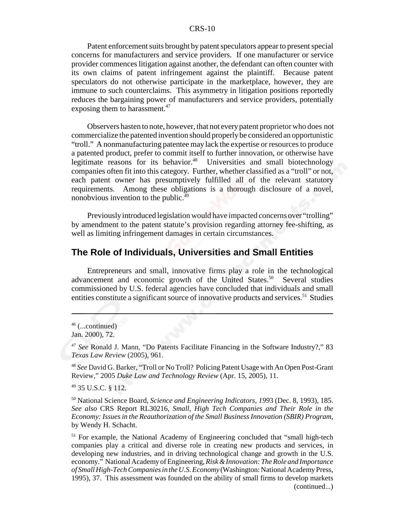Patent enforcement suits brought by patent speculators appear to present special concerns for manufacturers and service providers. If one manufacturer or service provider commences litigation against another, the defendant can often counter with its own claims of patent infringement against the plaintiff. Because patent speculators do not otherwise participate in the marketplace, however, they are immune to such counterclaims. This asymmetry in litigation positions reportedly reduces the bargaining power of manufacturers and service providers, potentially exposing them to harassment. $47$ 

 Observers hasten to note, however, that not every patent proprietor who does not commercialize the patented invention should properly be considered an opportunistic "troll." A nonmanufacturing patentee may lack the expertise or resources to produce a patented product, prefer to commit itself to further innovation, or otherwise have legitimate reasons for its behavior.<sup>48</sup> Universities and small biotechnology companies often fit into this category. Further, whether classified as a "troll" or not, each patent owner has presumptively fulfilled all of the relevant statutory requirements. Among these obligations is a thorough disclosure of a novel, nonobvious invention to the public.<sup>49</sup>

Previously introduced legislation would have impacted concerns over "trolling" by amendment to the patent statute's provision regarding attorney fee-shifting, as well as limiting infringement damages in certain circumstances.

#### **The Role of Individuals, Universities and Small Entities**

Entrepreneurs and small, innovative firms play a role in the technological advancement and economic growth of the United States.<sup>50</sup> Several studies commissioned by U.S. federal agencies have concluded that individuals and small entities constitute a significant source of innovative products and services.<sup>51</sup> Studies

49 35 U.S.C. § 112.

50 National Science Board, *Science and Engineering Indicators, 199*3 (Dec. 8, 1993), 185. *See also* CRS Report RL30216, *Small, High Tech Companies and Their Role in the Economy: Issues in the Reauthorization of the Small Business Innovation (SBIR) Program*, by Wendy H. Schacht.

<sup>51</sup> For example, the National Academy of Engineering concluded that "small high-tech companies play a critical and diverse role in creating new products and services, in developing new industries, and in driving technological change and growth in the U.S. economy." National Academy of Engineering, *Risk & Innovation: The Role and Importance of Small High-Tech Companies in the U.S. Economy* (Washington: National Academy Press, 1995), 37. This assessment was founded on the ability of small firms to develop markets (continued...)

 $46$  (...continued)

Jan. 2000), 72.

<sup>47</sup> *See* Ronald J. Mann, "Do Patents Facilitate Financing in the Software Industry?," 83 *Texas Law Review* (2005), 961.

<sup>48</sup> *See* David G. Barker, "Troll or No Troll? Policing Patent Usage with An Open Post-Grant Review," 2005 *Duke Law and Technology Review* (Apr. 15, 2005), 11.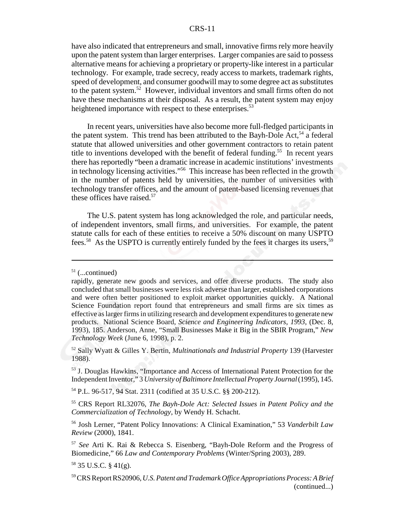have also indicated that entrepreneurs and small, innovative firms rely more heavily upon the patent system than larger enterprises. Larger companies are said to possess alternative means for achieving a proprietary or property-like interest in a particular technology. For example, trade secrecy, ready access to markets, trademark rights, speed of development, and consumer goodwill may to some degree act as substitutes to the patent system.52 However, individual inventors and small firms often do not have these mechanisms at their disposal. As a result, the patent system may enjoy heightened importance with respect to these enterprises.<sup>53</sup>

In recent years, universities have also become more full-fledged participants in the patent system. This trend has been attributed to the Bayh-Dole Act,  $54$  a federal statute that allowed universities and other government contractors to retain patent title to inventions developed with the benefit of federal funding.<sup>55</sup> In recent years there has reportedly "been a dramatic increase in academic institutions' investments in technology licensing activities."56 This increase has been reflected in the growth in the number of patents held by universities, the number of universities with technology transfer offices, and the amount of patent-based licensing revenues that these offices have raised. $57$ 

The U.S. patent system has long acknowledged the role, and particular needs, of independent inventors, small firms, and universities. For example, the patent statute calls for each of these entities to receive a 50% discount on many USPTO fees.<sup>58</sup> As the USPTO is currently entirely funded by the fees it charges its users,<sup>59</sup>

54 P.L. 96-517, 94 Stat. 2311 (codified at 35 U.S.C. §§ 200-212).

 $51$  (...continued)

rapidly, generate new goods and services, and offer diverse products. The study also concluded that small businesses were less risk adverse than larger, established corporations and were often better positioned to exploit market opportunities quickly. A National Science Foundation report found that entrepreneurs and small firms are six times as effective as larger firms in utilizing research and development expenditures to generate new products. National Science Board, *Science and Engineering Indicators*, *1993*, (Dec. 8, 1993), 185. Anderson, Anne, "Small Businesses Make it Big in the SBIR Program," *New Technology Week* (June 6, 1998), p. 2.

<sup>52</sup> Sally Wyatt & Gilles Y. Bertin, *Multinationals and Industrial Property* 139 (Harvester 1988).

<sup>53</sup> J. Douglas Hawkins, "Importance and Access of International Patent Protection for the Independent Inventor," 3 *University of Baltimore Intellectual Property Journal*(1995), 145.

<sup>55</sup> CRS Report RL32076, *The Bayh-Dole Act: Selected Issues in Patent Policy and the Commercialization of Technology*, by Wendy H. Schacht.

<sup>56</sup> Josh Lerner, "Patent Policy Innovations: A Clinical Examination," 53 *Vanderbilt Law Review* (2000), 1841.

<sup>57</sup> *See* Arti K. Rai & Rebecca S. Eisenberg, "Bayh-Dole Reform and the Progress of Biomedicine," 66 *Law and Contemporary Problems* (Winter/Spring 2003), 289.

 $58$  35 U.S.C. § 41(g).

<sup>59</sup> CRS Report RS20906, *U.S. Patent and Trademark Office Appropriations Process: A Brief* (continued...)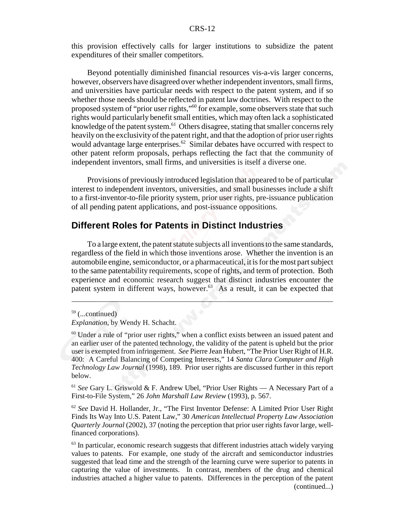this provision effectively calls for larger institutions to subsidize the patent expenditures of their smaller competitors.

Beyond potentially diminished financial resources vis-a-vis larger concerns, however, observers have disagreed over whether independent inventors, small firms, and universities have particular needs with respect to the patent system, and if so whether those needs should be reflected in patent law doctrines. With respect to the proposed system of "prior user rights,"<sup>60</sup> for example, some observers state that such rights would particularly benefit small entities, which may often lack a sophisticated knowledge of the patent system.<sup>61</sup> Others disagree, stating that smaller concerns rely heavily on the exclusivity of the patent right, and that the adoption of prior user rights would advantage large enterprises.<sup> $62$ </sup> Similar debates have occurred with respect to other patent reform proposals, perhaps reflecting the fact that the community of independent inventors, small firms, and universities is itself a diverse one.

Provisions of previously introduced legislation that appeared to be of particular interest to independent inventors, universities, and small businesses include a shift to a first-inventor-to-file priority system, prior user rights, pre-issuance publication of all pending patent applications, and post-issuance oppositions.

#### **Different Roles for Patents in Distinct Industries**

To a large extent, the patent statute subjects all inventions to the same standards, regardless of the field in which those inventions arose. Whether the invention is an automobile engine, semiconductor, or a pharmaceutical, it is for the most part subject to the same patentability requirements, scope of rights, and term of protection. Both experience and economic research suggest that distinct industries encounter the patent system in different ways, however.<sup>63</sup> As a result, it can be expected that

<sup>61</sup> *See* Gary L. Griswold & F. Andrew Ubel, "Prior User Rights — A Necessary Part of a First-to-File System," 26 *John Marshall Law Review* (1993), p. 567.

<sup>62</sup> *See* David H. Hollander, Jr., "The First Inventor Defense: A Limited Prior User Right Finds Its Way Into U.S. Patent Law," 30 *American Intellectual Property Law Association Quarterly Journal* (2002), 37 (noting the perception that prior user rights favor large, wellfinanced corporations).

 $63$  In particular, economic research suggests that different industries attach widely varying values to patents. For example, one study of the aircraft and semiconductor industries suggested that lead time and the strength of the learning curve were superior to patents in capturing the value of investments. In contrast, members of the drug and chemical industries attached a higher value to patents. Differences in the perception of the patent (continued...)

 $59$  (...continued)

*Explanation*, by Wendy H. Schacht.

<sup>&</sup>lt;sup>60</sup> Under a rule of "prior user rights," when a conflict exists between an issued patent and an earlier user of the patented technology, the validity of the patent is upheld but the prior user is exempted from infringement. *See* Pierre Jean Hubert, "The Prior User Right of H.R. 400: A Careful Balancing of Competing Interests," 14 *Santa Clara Computer and High Technology Law Journal* (1998), 189. Prior user rights are discussed further in this report below.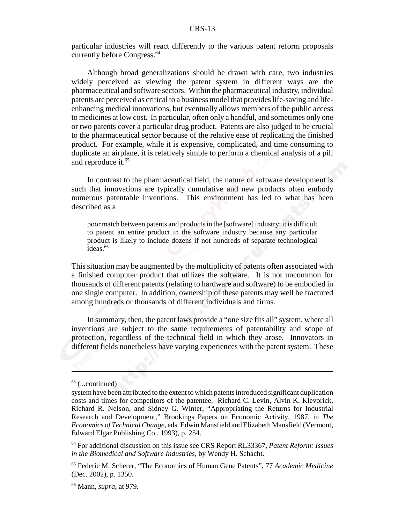particular industries will react differently to the various patent reform proposals currently before Congress.<sup>64</sup>

Although broad generalizations should be drawn with care, two industries widely perceived as viewing the patent system in different ways are the pharmaceutical and software sectors. Within the pharmaceutical industry, individual patents are perceived as critical to a business model that provides life-saving and lifeenhancing medical innovations, but eventually allows members of the public access to medicines at low cost. In particular, often only a handful, and sometimes only one or two patents cover a particular drug product. Patents are also judged to be crucial to the pharmaceutical sector because of the relative ease of replicating the finished product. For example, while it is expensive, complicated, and time consuming to duplicate an airplane, it is relatively simple to perform a chemical analysis of a pill and reproduce it.<sup>65</sup>

In contrast to the pharmaceutical field, the nature of software development is such that innovations are typically cumulative and new products often embody numerous patentable inventions. This environment has led to what has been described as a

poor match between patents and products in the [software] industry: it is difficult to patent an entire product in the software industry because any particular product is likely to include dozens if not hundreds of separate technological ideas.<sup>66</sup>

This situation may be augmented by the multiplicity of patents often associated with a finished computer product that utilizes the software. It is not uncommon for thousands of different patents (relating to hardware and software) to be embodied in one single computer. In addition, ownership of these patents may well be fractured among hundreds or thousands of different individuals and firms.

In summary, then, the patent laws provide a "one size fits all" system, where all inventions are subject to the same requirements of patentability and scope of protection, regardless of the technical field in which they arose. Innovators in different fields nonetheless have varying experiences with the patent system. These

 $63$  (...continued)

system have been attributed to the extent to which patents introduced significant duplication costs and times for competitors of the patentee. Richard C. Levin, Alvin K. Klevorick, Richard R. Nelson, and Sidney G. Winter, "Appropriating the Returns for Industrial Research and Development," Brookings Papers on Economic Activity, 1987, in *The Economics of Technical Change*, eds. Edwin Mansfield and Elizabeth Mansfield (Vermont, Edward Elgar Publishing Co., 1993), p. 254.

<sup>64</sup> For additional discussion on this issue see CRS Report RL33367, *Patent Reform: Issues in the Biomedical and Software Industries*, by Wendy H. Schacht.

<sup>65</sup> Federic M. Scherer, "The Economics of Human Gene Patents", 77 *Academic Medicine* (Dec. 2002), p. 1350.

<sup>66</sup> Mann, *supra*, at 979.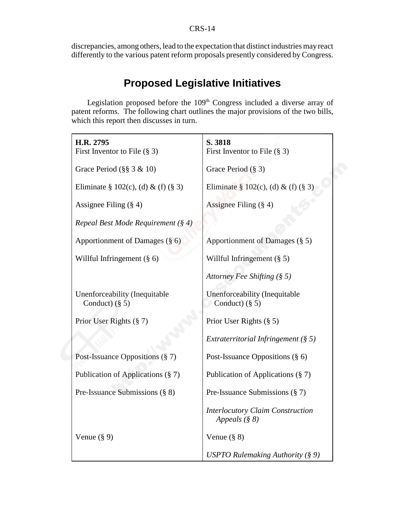discrepancies, among others, lead to the expectation that distinct industries may react differently to the various patent reform proposals presently considered by Congress.

# **Proposed Legislative Initiatives**

Legislation proposed before the 109<sup>th</sup> Congress included a diverse array of patent reforms. The following chart outlines the major provisions of the two bills, which this report then discusses in turn.

| H.R. 2795<br>First Inventor to File $(\S 3)$       | S. 3818<br>First Inventor to File $(\S 3)$                  |
|----------------------------------------------------|-------------------------------------------------------------|
| Grace Period $(\S$ § 3 & 10)                       | Grace Period (§ 3)                                          |
| Eliminate § 102(c), (d) & (f) (§ 3)                | Eliminate $\S 102(c)$ , (d) & (f) (§ 3)                     |
| Assignee Filing $(\S 4)$                           | Assignee Filing $(\S 4)$                                    |
| Repeal Best Mode Requirement $(\S 4)$              |                                                             |
| Apportionment of Damages (§ 6)                     | Apportionment of Damages (§ 5)                              |
| Willful Infringement $(\S 6)$                      | Willful Infringement $(\S 5)$                               |
|                                                    | Attorney Fee Shifting $(\S 5)$                              |
| Unenforceability (Inequitable<br>Conduct) $(\S 5)$ | Unenforceability (Inequitable<br>Conduct) $(\S 5)$          |
| Prior User Rights (§ 7)                            | Prior User Rights $(\S 5)$                                  |
|                                                    | Extraterritorial Infringement $(\S 5)$                      |
| Post-Issuance Oppositions (§ 7)                    | Post-Issuance Oppositions $(\S 6)$                          |
| Publication of Applications (§ 7)                  | Publication of Applications (§ 7)                           |
| Pre-Issuance Submissions (§ 8)                     | Pre-Issuance Submissions (§ 7)                              |
|                                                    | <b>Interlocutory Claim Construction</b><br>Appeals $(\S 8)$ |
| Venue $(\S 9)$                                     | Venue $(\S 8)$                                              |
|                                                    | USPTO Rulemaking Authority $(\S 9)$                         |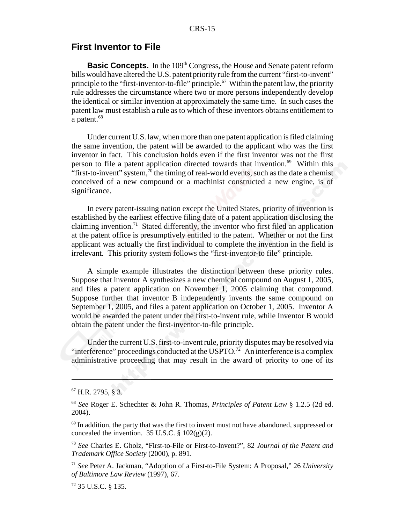#### **First Inventor to File**

**Basic Concepts.** In the 109<sup>th</sup> Congress, the House and Senate patent reform bills would have altered the U.S. patent priority rule from the current "first-to-invent" principle to the "first-inventor-to-file" principle.<sup>67</sup> Within the patent law, the priority rule addresses the circumstance where two or more persons independently develop the identical or similar invention at approximately the same time. In such cases the patent law must establish a rule as to which of these inventors obtains entitlement to a patent.<sup>68</sup>

Under current U.S. law, when more than one patent application is filed claiming the same invention, the patent will be awarded to the applicant who was the first inventor in fact. This conclusion holds even if the first inventor was not the first person to file a patent application directed towards that invention.<sup>69</sup> Within this "first-to-invent" system,<sup>70</sup> the timing of real-world events, such as the date a chemist conceived of a new compound or a machinist constructed a new engine, is of significance.

In every patent-issuing nation except the United States, priority of invention is established by the earliest effective filing date of a patent application disclosing the claiming invention.<sup>71</sup> Stated differently, the inventor who first filed an application at the patent office is presumptively entitled to the patent. Whether or not the first applicant was actually the first individual to complete the invention in the field is irrelevant. This priority system follows the "first-inventor-to file" principle.

A simple example illustrates the distinction between these priority rules. Suppose that inventor A synthesizes a new chemical compound on August 1, 2005, and files a patent application on November 1, 2005 claiming that compound. Suppose further that inventor B independently invents the same compound on September 1, 2005, and files a patent application on October 1, 2005. Inventor A would be awarded the patent under the first-to-invent rule, while Inventor B would obtain the patent under the first-inventor-to-file principle.

Under the current U.S. first-to-invent rule, priority disputes may be resolved via "interference" proceedings conducted at the USPTO.<sup>72</sup> An interference is a complex administrative proceeding that may result in the award of priority to one of its

 $67$  H.R. 2795, § 3.

<sup>68</sup> *See* Roger E. Schechter & John R. Thomas, *Principles of Patent Law* § 1.2.5 (2d ed. 2004).

 $69$  In addition, the party that was the first to invent must not have abandoned, suppressed or concealed the invention. 35 U.S.C.  $\S 102(g)(2)$ .

<sup>70</sup> *See* Charles E. Gholz, "First-to-File or First-to-Invent?", 82 *Journal of the Patent and Trademark Office Society* (2000), p. 891.

<sup>71</sup> *See* Peter A. Jackman, "Adoption of a First-to-File System: A Proposal," 26 *University of Baltimore Law Review* (1997), 67.

<sup>72 35</sup> U.S.C. § 135.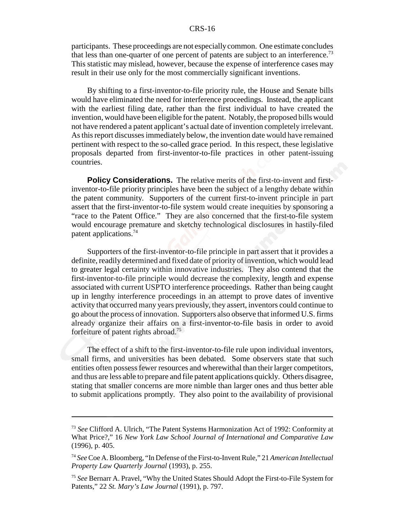participants. These proceedings are not especially common. One estimate concludes that less than one-quarter of one percent of patents are subject to an interference.<sup>73</sup> This statistic may mislead, however, because the expense of interference cases may result in their use only for the most commercially significant inventions.

By shifting to a first-inventor-to-file priority rule, the House and Senate bills would have eliminated the need for interference proceedings. Instead, the applicant with the earliest filing date, rather than the first individual to have created the invention, would have been eligible for the patent. Notably, the proposed bills would not have rendered a patent applicant's actual date of invention completely irrelevant. As this report discusses immediately below, the invention date would have remained pertinent with respect to the so-called grace period. In this respect, these legislative proposals departed from first-inventor-to-file practices in other patent-issuing countries.

**Policy Considerations.** The relative merits of the first-to-invent and firstinventor-to-file priority principles have been the subject of a lengthy debate within the patent community. Supporters of the current first-to-invent principle in part assert that the first-inventor-to-file system would create inequities by sponsoring a "race to the Patent Office." They are also concerned that the first-to-file system would encourage premature and sketchy technological disclosures in hastily-filed patent applications.74

Supporters of the first-inventor-to-file principle in part assert that it provides a definite, readily determined and fixed date of priority of invention, which would lead to greater legal certainty within innovative industries. They also contend that the first-inventor-to-file principle would decrease the complexity, length and expense associated with current USPTO interference proceedings. Rather than being caught up in lengthy interference proceedings in an attempt to prove dates of inventive activity that occurred many years previously, they assert, inventors could continue to go about the process of innovation. Supporters also observe that informed U.S. firms already organize their affairs on a first-inventor-to-file basis in order to avoid forfeiture of patent rights abroad.75

The effect of a shift to the first-inventor-to-file rule upon individual inventors, small firms, and universities has been debated. Some observers state that such entities often possess fewer resources and wherewithal than their larger competitors, and thus are less able to prepare and file patent applications quickly. Others disagree, stating that smaller concerns are more nimble than larger ones and thus better able to submit applications promptly. They also point to the availability of provisional

<sup>73</sup> *See* Clifford A. Ulrich, "The Patent Systems Harmonization Act of 1992: Conformity at What Price?," 16 *New York Law School Journal of International and Comparative Law* (1996), p. 405.

<sup>74</sup> *See* Coe A. Bloomberg, "In Defense of the First-to-Invent Rule," 21 *American Intellectual Property Law Quarterly Journal* (1993), p. 255.

<sup>75</sup> *See* Bernarr A. Pravel, "Why the United States Should Adopt the First-to-File System for Patents," 22 *St. Mary's Law Journal* (1991), p. 797.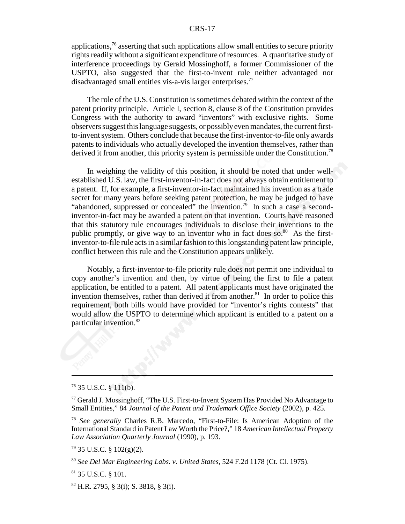applications, $76$  asserting that such applications allow small entities to secure priority rights readily without a significant expenditure of resources. A quantitative study of interference proceedings by Gerald Mossinghoff, a former Commissioner of the USPTO, also suggested that the first-to-invent rule neither advantaged nor disadvantaged small entities vis-a-vis larger enterprises.<sup>77</sup>

The role of the U.S. Constitution is sometimes debated within the context of the patent priority principle. Article I, section 8, clause 8 of the Constitution provides Congress with the authority to award "inventors" with exclusive rights. Some observers suggest this language suggests, or possibly even mandates, the current firstto-invent system. Others conclude that because the first-inventor-to-file only awards patents to individuals who actually developed the invention themselves, rather than derived it from another, this priority system is permissible under the Constitution.<sup>78</sup>

In weighing the validity of this position, it should be noted that under wellestablished U.S. law, the first-inventor-in-fact does not always obtain entitlement to a patent. If, for example, a first-inventor-in-fact maintained his invention as a trade secret for many years before seeking patent protection, he may be judged to have "abandoned, suppressed or concealed" the invention.<sup>79</sup> In such a case a secondinventor-in-fact may be awarded a patent on that invention. Courts have reasoned that this statutory rule encourages individuals to disclose their inventions to the public promptly, or give way to an inventor who in fact does so. $80$  As the firstinventor-to-file rule acts in a similar fashion to this longstanding patent law principle, conflict between this rule and the Constitution appears unlikely.

Notably, a first-inventor-to-file priority rule does not permit one individual to copy another's invention and then, by virtue of being the first to file a patent application, be entitled to a patent. All patent applicants must have originated the invention themselves, rather than derived it from another. $81$  In order to police this requirement, both bills would have provided for "inventor's rights contests" that would allow the USPTO to determine which applicant is entitled to a patent on a particular invention.82

 $79$  35 U.S.C. § 102(g)(2).

 $76$  35 U.S.C. § 111(b).

<sup>77</sup> Gerald J. Mossinghoff, "The U.S. First-to-Invent System Has Provided No Advantage to Small Entities," 84 *Journal of the Patent and Trademark Office Society* (2002), p. 425.

<sup>78</sup> *See generally* Charles R.B. Marcedo, "First-to-File: Is American Adoption of the International Standard in Patent Law Worth the Price?," 18 *American Intellectual Property Law Association Quarterly Journal* (1990), p. 193.

<sup>80</sup> *See Del Mar Engineering Labs. v. United States*, 524 F.2d 1178 (Ct. Cl. 1975).

<sup>81 35</sup> U.S.C. § 101.

 $82$  H.R. 2795, § 3(i); S. 3818, § 3(i).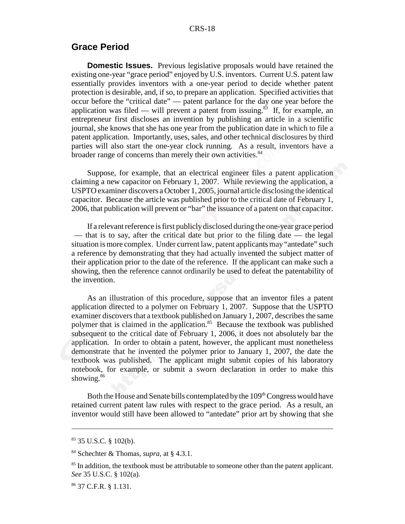#### **Grace Period**

**Domestic Issues.** Previous legislative proposals would have retained the existing one-year "grace period" enjoyed by U.S. inventors. Current U.S. patent law essentially provides inventors with a one-year period to decide whether patent protection is desirable, and, if so, to prepare an application. Specified activities that occur before the "critical date" — patent parlance for the day one year before the application was filed — will prevent a patent from issuing.<sup>83</sup> If, for example, an entrepreneur first discloses an invention by publishing an article in a scientific journal, she knows that she has one year from the publication date in which to file a patent application. Importantly, uses, sales, and other technical disclosures by third parties will also start the one-year clock running. As a result, inventors have a broader range of concerns than merely their own activities.<sup>84</sup>

Suppose, for example, that an electrical engineer files a patent application claiming a new capacitor on February 1, 2007. While reviewing the application, a USPTO examiner discovers a October 1, 2005, journal article disclosing the identical capacitor. Because the article was published prior to the critical date of February 1, 2006, that publication will prevent or "bar" the issuance of a patent on that capacitor.

If a relevant reference is first publicly disclosed during the one-year grace period — that is to say, after the critical date but prior to the filing date — the legal situation is more complex. Under current law, patent applicants may "antedate" such a reference by demonstrating that they had actually invented the subject matter of their application prior to the date of the reference. If the applicant can make such a showing, then the reference cannot ordinarily be used to defeat the patentability of the invention.

As an illustration of this procedure, suppose that an inventor files a patent application directed to a polymer on February 1, 2007. Suppose that the USPTO examiner discovers that a textbook published on January 1, 2007, describes the same polymer that is claimed in the application.<sup>85</sup> Because the textbook was published subsequent to the critical date of February 1, 2006, it does not absolutely bar the application. In order to obtain a patent, however, the applicant must nonetheless demonstrate that he invented the polymer prior to January 1, 2007, the date the textbook was published. The applicant might submit copies of his laboratory notebook, for example, or submit a sworn declaration in order to make this showing.<sup>86</sup>

Both the House and Senate bills contemplated by the 109<sup>th</sup> Congress would have retained current patent law rules with respect to the grace period. As a result, an inventor would still have been allowed to "antedate" prior art by showing that she

<sup>83 35</sup> U.S.C. § 102(b).

<sup>84</sup> Schechter & Thomas, *supra*, at § 4.3.1.

<sup>&</sup>lt;sup>85</sup> In addition, the textbook must be attributable to some other than the patent applicant. *See* 35 U.S.C. § 102(a).

<sup>86 37</sup> C.F.R. § 1.131.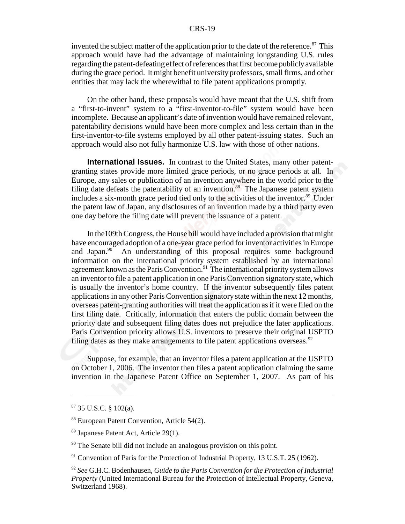invented the subject matter of the application prior to the date of the reference.<sup>87</sup> This approach would have had the advantage of maintaining longstanding U.S. rules regarding the patent-defeating effect of references that first become publicly available during the grace period. It might benefit university professors, small firms, and other entities that may lack the wherewithal to file patent applications promptly.

On the other hand, these proposals would have meant that the U.S. shift from a "first-to-invent" system to a "first-inventor-to-file" system would have been incomplete. Because an applicant's date of invention would have remained relevant, patentability decisions would have been more complex and less certain than in the first-inventor-to-file systems employed by all other patent-issuing states. Such an approach would also not fully harmonize U.S. law with those of other nations.

**International Issues.** In contrast to the United States, many other patentgranting states provide more limited grace periods, or no grace periods at all. In Europe, any sales or publication of an invention anywhere in the world prior to the filing date defeats the patentability of an invention.<sup>88</sup> The Japanese patent system includes a six-month grace period tied only to the activities of the inventor.<sup>89</sup> Under the patent law of Japan, any disclosures of an invention made by a third party even one day before the filing date will prevent the issuance of a patent.

In the109th Congress, the House bill would have included a provision that might have encouraged adoption of a one-year grace period for inventor activities in Europe and Japan.<sup>90</sup> An understanding of this proposal requires some background information on the international priority system established by an international agreement known as the Paris Convention.<sup>91</sup> The international priority system allows an inventor to file a patent application in one Paris Convention signatory state, which is usually the inventor's home country. If the inventor subsequently files patent applications in any other Paris Convention signatory state within the next 12 months, overseas patent-granting authorities will treat the application as if it were filed on the first filing date. Critically, information that enters the public domain between the priority date and subsequent filing dates does not prejudice the later applications. Paris Convention priority allows U.S. inventors to preserve their original USPTO filing dates as they make arrangements to file patent applications overseas.  $92$ 

Suppose, for example, that an inventor files a patent application at the USPTO on October 1, 2006. The inventor then files a patent application claiming the same invention in the Japanese Patent Office on September 1, 2007. As part of his

<sup>87 35</sup> U.S.C. § 102(a).

<sup>88</sup> European Patent Convention, Article 54(2).

<sup>89</sup> Japanese Patent Act, Article 29(1).

<sup>&</sup>lt;sup>90</sup> The Senate bill did not include an analogous provision on this point.

 $91$  Convention of Paris for the Protection of Industrial Property, 13 U.S.T. 25 (1962).

<sup>92</sup> *See* G.H.C. Bodenhausen, *Guide to the Paris Convention for the Protection of Industrial Property* (United International Bureau for the Protection of Intellectual Property, Geneva, Switzerland 1968).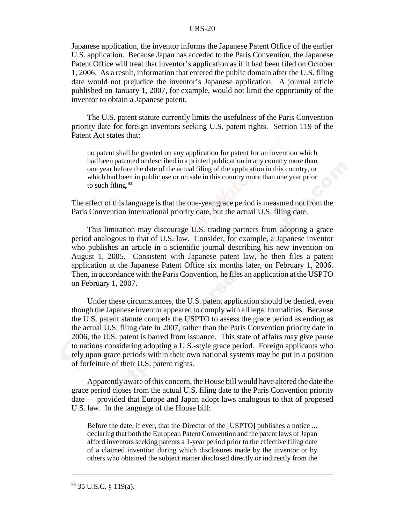Japanese application, the inventor informs the Japanese Patent Office of the earlier U.S. application. Because Japan has acceded to the Paris Convention, the Japanese Patent Office will treat that inventor's application as if it had been filed on October 1, 2006. As a result, information that entered the public domain after the U.S. filing date would not prejudice the inventor's Japanese application. A journal article published on January 1, 2007, for example, would not limit the opportunity of the inventor to obtain a Japanese patent.

The U.S. patent statute currently limits the usefulness of the Paris Convention priority date for foreign inventors seeking U.S. patent rights. Section 119 of the Patent Act states that:

no patent shall be granted on any application for patent for an invention which had been patented or described in a printed publication in any country more than one year before the date of the actual filing of the application in this country, or which had been in public use or on sale in this country more than one year prior to such filing. $93$ 

The effect of this language is that the one-year grace period is measured not from the Paris Convention international priority date, but the actual U.S. filing date.

This limitation may discourage U.S. trading partners from adopting a grace period analogous to that of U.S. law. Consider, for example, a Japanese inventor who publishes an article in a scientific journal describing his new invention on August 1, 2005. Consistent with Japanese patent law, he then files a patent application at the Japanese Patent Office six months later, on February 1, 2006. Then, in accordance with the Paris Convention, he files an application at the USPTO on February 1, 2007.

Under these circumstances, the U.S. patent application should be denied, even though the Japanese inventor appeared to comply with all legal formalities. Because the U.S. patent statute compels the USPTO to assess the grace period as ending as the actual U.S. filing date in 2007, rather than the Paris Convention priority date in 2006, the U.S. patent is barred from issuance. This state of affairs may give pause to nations considering adopting a U.S.-style grace period. Foreign applicants who rely upon grace periods within their own national systems may be put in a position of forfeiture of their U.S. patent rights.

Apparently aware of this concern, the House bill would have altered the date the grace period closes from the actual U.S. filing date to the Paris Convention priority date — provided that Europe and Japan adopt laws analogous to that of proposed U.S. law. In the language of the House bill:

Before the date, if ever, that the Director of the [USPTO] publishes a notice ... declaring that both the European Patent Convention and the patent laws of Japan afford inventors seeking patents a 1-year period prior to the effective filing date of a claimed invention during which disclosures made by the inventor or by others who obtained the subject matter disclosed directly or indirectly from the

 $93$  35 U.S.C. § 119(a).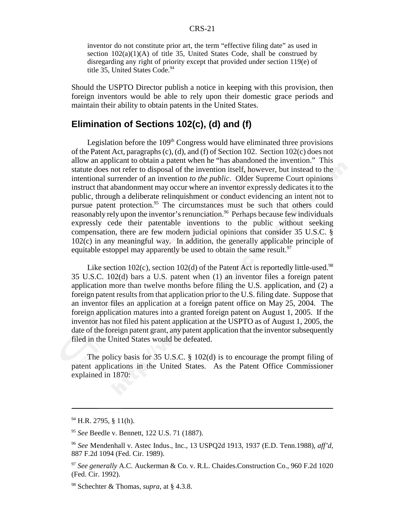inventor do not constitute prior art, the term "effective filing date" as used in section  $102(a)(1)(A)$  of title 35, United States Code, shall be construed by disregarding any right of priority except that provided under section 119(e) of title 35, United States Code.<sup>94</sup>

Should the USPTO Director publish a notice in keeping with this provision, then foreign inventors would be able to rely upon their domestic grace periods and maintain their ability to obtain patents in the United States.

## **Elimination of Sections 102(c), (d) and (f)**

Legislation before the  $109<sup>th</sup>$  Congress would have eliminated three provisions of the Patent Act, paragraphs (c), (d), and (f) of Section 102. Section 102(c) does not allow an applicant to obtain a patent when he "has abandoned the invention." This statute does not refer to disposal of the invention itself, however, but instead to the intentional surrender of an invention *to the public*. Older Supreme Court opinions instruct that abandonment may occur where an inventor expressly dedicates it to the public, through a deliberate relinquishment or conduct evidencing an intent not to pursue patent protection.<sup>95</sup> The circumstances must be such that others could reasonably rely upon the inventor's renunciation.<sup>96</sup> Perhaps because few individuals expressly cede their patentable inventions to the public without seeking compensation, there are few modern judicial opinions that consider 35 U.S.C. § 102(c) in any meaningful way. In addition, the generally applicable principle of equitable estoppel may apparently be used to obtain the same result.<sup>97</sup>

Like section 102(c), section 102(d) of the Patent Act is reportedly little-used.<sup>98</sup> 35 U.S.C. 102(d) bars a U.S. patent when (1) an inventor files a foreign patent application more than twelve months before filing the U.S. application, and (2) a foreign patent results from that application prior to the U.S. filing date. Suppose that an inventor files an application at a foreign patent office on May 25, 2004. The foreign application matures into a granted foreign patent on August 1, 2005. If the inventor has not filed his patent application at the USPTO as of August 1, 2005, the date of the foreign patent grant, any patent application that the inventor subsequently filed in the United States would be defeated.

The policy basis for 35 U.S.C. § 102(d) is to encourage the prompt filing of patent applications in the United States. As the Patent Office Commissioner explained in 1870:

 $94$  H.R. 2795, § 11(h).

<sup>95</sup> *See* Beedle v. Bennett, 122 U.S. 71 (1887).

<sup>96</sup> *See* Mendenhall v. Astec Indus., Inc., 13 USPQ2d 1913, 1937 (E.D. Tenn.1988), *aff'd*, 887 F.2d 1094 (Fed. Cir. 1989).

<sup>97</sup> *See generally* A.C. Auckerman & Co. v. R.L. Chaides.Construction Co., 960 F.2d 1020 (Fed. Cir. 1992).

<sup>98</sup> Schechter & Thomas, *supra*, at § 4.3.8.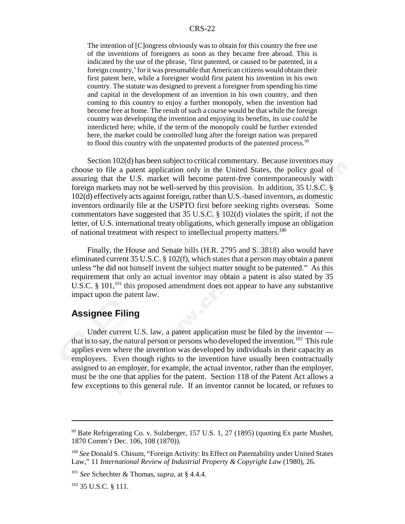The intention of [C]ongress obviously was to obtain for this country the free use of the inventions of foreigners as soon as they became free abroad. This is indicated by the use of the phrase, 'first patented, or caused to be patented, in a foreign country,' for it was presumable that American citizens would obtain their first patent here, while a foreigner would first patent his invention in his own country. The statute was designed to prevent a foreigner from spending his time and capital in the development of an invention in his own country, and then coming to this country to enjoy a further monopoly, when the invention had become free at home. The result of such a course would be that while the foreign country was developing the invention and enjoying its benefits, its use could be interdicted here; while, if the term of the monopoly could be further extended here, the market could be controlled long after the foreign nation was prepared to flood this country with the unpatented products of the patented process.<sup>99</sup>

Section 102(d) has been subject to critical commentary. Because inventors may choose to file a patent application only in the United States, the policy goal of assuring that the U.S. market will become patent-free contemporaneously with foreign markets may not be well-served by this provision. In addition, 35 U.S.C. § 102(d) effectively acts against foreign, rather than U.S.-based inventors, as domestic inventors ordinarily file at the USPTO first before seeking rights overseas. Some commentators have suggested that 35 U.S.C. § 102(d) violates the spirit, if not the letter, of U.S. international treaty obligations, which generally impose an obligation of national treatment with respect to intellectual property matters.100

Finally, the House and Senate bills (H.R. 2795 and S. 3818) also would have eliminated current 35 U.S.C. § 102(f), which states that a person may obtain a patent unless "he did not himself invent the subject matter sought to be patented." As this requirement that only an actual inventor may obtain a patent is also stated by 35 U.S.C.  $\S$  101,<sup>101</sup> this proposed amendment does not appear to have any substantive impact upon the patent law.

## **Assignee Filing**

Under current U.S. law, a patent application must be filed by the inventor that is to say, the natural person or persons who developed the invention.<sup>102</sup> This rule applies even where the invention was developed by individuals in their capacity as employees. Even though rights to the invention have usually been contractually assigned to an employer, for example, the actual inventor, rather than the employer, must be the one that applies for the patent. Section 118 of the Patent Act allows a few exceptions to this general rule. If an inventor cannot be located, or refuses to

<sup>&</sup>lt;sup>99</sup> Bate Refrigerating Co. v. Sulzberger, 157 U.S. 1, 27 (1895) (quoting Ex parte Mushet, 1870 Comm'r Dec. 106, 108 (1870)).

<sup>100</sup> *See* Donald S. Chisum, "Foreign Activity: Its Effect on Patentability under United States Law," 11 *International Review of Industrial Property & Copyright Law* (1980), 26.

<sup>101</sup> *See* Schechter & Thomas, *supra*, at § 4.4.4.

 $102$  35 U.S.C. § 111.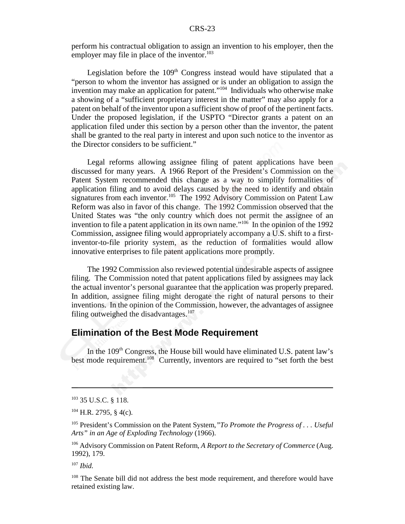perform his contractual obligation to assign an invention to his employer, then the employer may file in place of the inventor.<sup>103</sup>

Legislation before the  $109<sup>th</sup>$  Congress instead would have stipulated that a "person to whom the inventor has assigned or is under an obligation to assign the invention may make an application for patent."104 Individuals who otherwise make a showing of a "sufficient proprietary interest in the matter" may also apply for a patent on behalf of the inventor upon a sufficient show of proof of the pertinent facts. Under the proposed legislation, if the USPTO "Director grants a patent on an application filed under this section by a person other than the inventor, the patent shall be granted to the real party in interest and upon such notice to the inventor as the Director considers to be sufficient."

Legal reforms allowing assignee filing of patent applications have been discussed for many years. A 1966 Report of the President's Commission on the Patent System recommended this change as a way to simplify formalities of application filing and to avoid delays caused by the need to identify and obtain signatures from each inventor.<sup>105</sup> The 1992 Advisory Commission on Patent Law Reform was also in favor of this change. The 1992 Commission observed that the United States was "the only country which does not permit the assignee of an invention to file a patent application in its own name."<sup>106</sup> In the opinion of the 1992 Commission, assignee filing would appropriately accompany a U.S. shift to a firstinventor-to-file priority system, as the reduction of formalities would allow innovative enterprises to file patent applications more promptly.

The 1992 Commission also reviewed potential undesirable aspects of assignee filing. The Commission noted that patent applications filed by assignees may lack the actual inventor's personal guarantee that the application was properly prepared. In addition, assignee filing might derogate the right of natural persons to their inventions. In the opinion of the Commission, however, the advantages of assignee filing outweighed the disadvantages.<sup>107</sup>

### **Elimination of the Best Mode Requirement**

In the 109<sup>th</sup> Congress, the House bill would have eliminated U.S. patent law's best mode requirement.<sup>108</sup> Currently, inventors are required to "set forth the best

<sup>107</sup> *Ibid.*

<sup>103 35</sup> U.S.C. § 118.

 $104$  H.R. 2795, § 4(c).

<sup>105</sup> President's Commission on the Patent System,*"To Promote the Progress of . . . Useful Arts" in an Age of Exploding Technology* (1966).

<sup>106</sup> Advisory Commission on Patent Reform, *A Report to the Secretary of Commerce* (Aug. 1992), 179.

<sup>&</sup>lt;sup>108</sup> The Senate bill did not address the best mode requirement, and therefore would have retained existing law.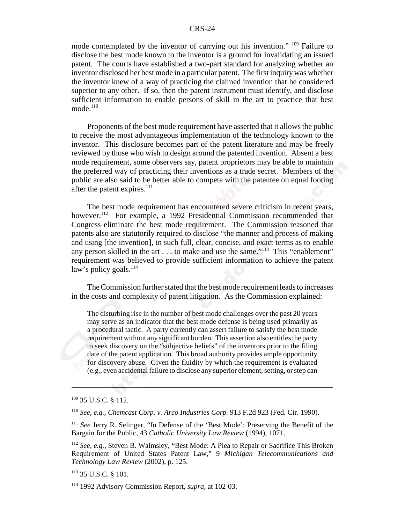mode contemplated by the inventor of carrying out his invention." <sup>109</sup> Failure to disclose the best mode known to the inventor is a ground for invalidating an issued patent. The courts have established a two-part standard for analyzing whether an inventor disclosed her best mode in a particular patent. The first inquiry was whether the inventor knew of a way of practicing the claimed invention that he considered superior to any other. If so, then the patent instrument must identify, and disclose sufficient information to enable persons of skill in the art to practice that best mode. $110$ 

Proponents of the best mode requirement have asserted that it allows the public to receive the most advantageous implementation of the technology known to the inventor. This disclosure becomes part of the patent literature and may be freely reviewed by those who wish to design around the patented invention. Absent a best mode requirement, some observers say, patent proprietors may be able to maintain the preferred way of practicing their inventions as a trade secret. Members of the public are also said to be better able to compete with the patentee on equal footing after the patent expires. $^{111}$ 

The best mode requirement has encountered severe criticism in recent years, however.<sup>112</sup> For example, a 1992 Presidential Commission recommended that Congress eliminate the best mode requirement. The Commission reasoned that patents also are statutorily required to disclose "the manner and process of making and using [the invention], in such full, clear, concise, and exact terms as to enable any person skilled in the art . . . to make and use the same."113 This "enablement" requirement was believed to provide sufficient information to achieve the patent law's policy goals.<sup>114</sup>

The Commission further stated that the best mode requirement leads to increases in the costs and complexity of patent litigation. As the Commission explained:

The disturbing rise in the number of best mode challenges over the past 20 years may serve as an indicator that the best mode defense is being used primarily as a procedural tactic. A party currently can assert failure to satisfy the best mode requirement without any significant burden. This assertion also entitles the party to seek discovery on the "subjective beliefs" of the inventors prior to the filing date of the patent application. This broad authority provides ample opportunity for discovery abuse. Given the fluidity by which the requirement is evaluated (e.g., even accidental failure to disclose any superior element, setting, or step can

 $109$  35 U.S.C.  $8$  112.

<sup>110</sup> *See, e.g., Chemcast Corp. v. Arco Industries Corp.* 913 F.2d 923 (Fed. Cir. 1990).

<sup>&</sup>lt;sup>111</sup> See Jerry R. Selinger, "In Defense of the 'Best Mode': Preserving the Benefit of the Bargain for the Public, 43 *Catholic University Law Review* (1994), 1071.

<sup>112</sup> *See, e.g.,* Steven B. Walmsley, "Best Mode: A Plea to Repair or Sacrifice This Broken Requirement of United States Patent Law," 9 *Michigan Telecommunications and Technology Law Review* (2002), p. 125.

<sup>113 35</sup> U.S.C. § 101.

<sup>114 1992</sup> Advisory Commission Report, *supra,* at 102-03.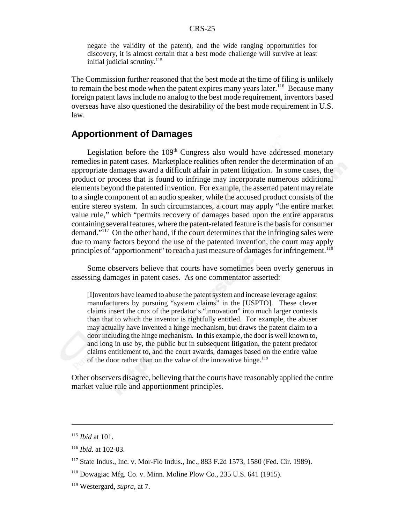negate the validity of the patent), and the wide ranging opportunities for discovery, it is almost certain that a best mode challenge will survive at least initial judicial scrutiny.<sup>115</sup>

The Commission further reasoned that the best mode at the time of filing is unlikely to remain the best mode when the patent expires many years later.<sup>116</sup> Because many foreign patent laws include no analog to the best mode requirement, inventors based overseas have also questioned the desirability of the best mode requirement in U.S. law.

#### **Apportionment of Damages**

Legislation before the  $109<sup>th</sup>$  Congress also would have addressed monetary remedies in patent cases. Marketplace realities often render the determination of an appropriate damages award a difficult affair in patent litigation. In some cases, the product or process that is found to infringe may incorporate numerous additional elements beyond the patented invention. For example, the asserted patent may relate to a single component of an audio speaker, while the accused product consists of the entire stereo system. In such circumstances, a court may apply "the entire market value rule," which "permits recovery of damages based upon the entire apparatus containing several features, where the patent-related feature is the basis for consumer demand."117 On the other hand, if the court determines that the infringing sales were due to many factors beyond the use of the patented invention, the court may apply principles of "apportionment" to reach a just measure of damages for infringement.<sup>118</sup>

Some observers believe that courts have sometimes been overly generous in assessing damages in patent cases. As one commentator asserted:

[I]nventors have learned to abuse the patent system and increase leverage against manufacturers by pursuing "system claims" in the [USPTO]. These clever claims insert the crux of the predator's "innovation" into much larger contexts than that to which the inventor is rightfully entitled. For example, the abuser may actually have invented a hinge mechanism, but draws the patent claim to a door including the hinge mechanism. In this example, the door is well known to, and long in use by, the public but in subsequent litigation, the patent predator claims entitlement to, and the court awards, damages based on the entire value of the door rather than on the value of the innovative hinge.<sup>119</sup>

Other observers disagree, believing that the courts have reasonably applied the entire market value rule and apportionment principles.

<sup>115</sup> *Ibid* at 101.

<sup>116</sup> *Ibid*. at 102-03.

<sup>117</sup> State Indus., Inc. v. Mor-Flo Indus., Inc., 883 F.2d 1573, 1580 (Fed. Cir. 1989).

 $118$  Dowagiac Mfg. Co. v. Minn. Moline Plow Co., 235 U.S. 641 (1915).

<sup>119</sup> Westergard, *supra*, at 7.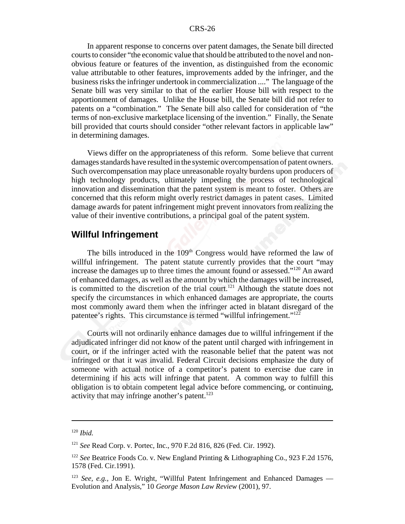In apparent response to concerns over patent damages, the Senate bill directed courts to consider "the economic value that should be attributed to the novel and nonobvious feature or features of the invention, as distinguished from the economic value attributable to other features, improvements added by the infringer, and the business risks the infringer undertook in commercialization ...." The language of the Senate bill was very similar to that of the earlier House bill with respect to the apportionment of damages. Unlike the House bill, the Senate bill did not refer to patents on a "combination." The Senate bill also called for consideration of "the terms of non-exclusive marketplace licensing of the invention." Finally, the Senate bill provided that courts should consider "other relevant factors in applicable law" in determining damages.

Views differ on the appropriateness of this reform. Some believe that current damages standards have resulted in the systemic overcompensation of patent owners. Such overcompensation may place unreasonable royalty burdens upon producers of high technology products, ultimately impeding the process of technological innovation and dissemination that the patent system is meant to foster. Others are concerned that this reform might overly restrict damages in patent cases. Limited damage awards for patent infringement might prevent innovators from realizing the value of their inventive contributions, a principal goal of the patent system.

## **Willful Infringement**

The bills introduced in the  $109<sup>th</sup>$  Congress would have reformed the law of willful infringement. The patent statute currently provides that the court "may increase the damages up to three times the amount found or assessed."120 An award of enhanced damages, as well as the amount by which the damages will be increased, is committed to the discretion of the trial court.<sup>121</sup> Although the statute does not specify the circumstances in which enhanced damages are appropriate, the courts most commonly award them when the infringer acted in blatant disregard of the patentee's rights. This circumstance is termed "willful infringement."122

Courts will not ordinarily enhance damages due to willful infringement if the adjudicated infringer did not know of the patent until charged with infringement in court, or if the infringer acted with the reasonable belief that the patent was not infringed or that it was invalid. Federal Circuit decisions emphasize the duty of someone with actual notice of a competitor's patent to exercise due care in determining if his acts will infringe that patent. A common way to fulfill this obligation is to obtain competent legal advice before commencing, or continuing, activity that may infringe another's patent. $123$ 

<sup>120</sup> *Ibid.*

<sup>121</sup> *See* Read Corp. v. Portec, Inc., 970 F.2d 816, 826 (Fed. Cir. 1992).

<sup>&</sup>lt;sup>122</sup> See Beatrice Foods Co. v. New England Printing & Lithographing Co., 923 F.2d 1576, 1578 (Fed. Cir.1991).

<sup>&</sup>lt;sup>123</sup> *See, e.g., Jon E. Wright, "Willful Patent Infringement and Enhanced Damages —* Evolution and Analysis," 10 *George Mason Law Review* (2001), 97.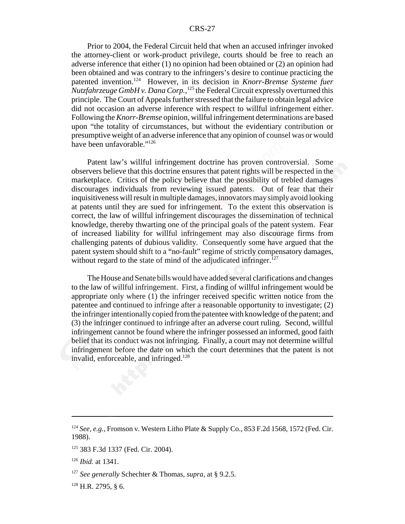Prior to 2004, the Federal Circuit held that when an accused infringer invoked the attorney-client or work-product privilege, courts should be free to reach an adverse inference that either (1) no opinion had been obtained or (2) an opinion had been obtained and was contrary to the infringers's desire to continue practicing the patented invention.124 However, in its decision in *Knorr-Bremse Systeme fuer Nutzfahrzeuge GmbH v. Dana Corp.*, 125 the Federal Circuit expressly overturned this principle. The Court of Appeals further stressed that the failure to obtain legal advice did not occasion an adverse inference with respect to willful infringement either. Following the *Knorr-Bremse* opinion, willful infringement determinations are based upon "the totality of circumstances, but without the evidentiary contribution or presumptive weight of an adverse inference that any opinion of counsel was or would have been unfavorable."126

Patent law's willful infringement doctrine has proven controversial. Some observers believe that this doctrine ensures that patent rights will be respected in the marketplace. Critics of the policy believe that the possibility of trebled damages discourages individuals from reviewing issued patents. Out of fear that their inquisitiveness will result in multiple damages, innovators may simply avoid looking at patents until they are sued for infringement. To the extent this observation is correct, the law of willful infringement discourages the dissemination of technical knowledge, thereby thwarting one of the principal goals of the patent system. Fear of increased liability for willful infringement may also discourage firms from challenging patents of dubious validity. Consequently some have argued that the patent system should shift to a "no-fault" regime of strictly compensatory damages, without regard to the state of mind of the adjudicated infringer. $127$ 

The House and Senate bills would have added several clarifications and changes to the law of willful infringement. First, a finding of willful infringement would be appropriate only where (1) the infringer received specific written notice from the patentee and continued to infringe after a reasonable opportunity to investigate; (2) the infringer intentionally copied from the patentee with knowledge of the patent; and (3) the infringer continued to infringe after an adverse court ruling. Second, willful infringement cannot be found where the infringer possessed an informed, good faith belief that its conduct was not infringing. Finally, a court may not determine willful infringement before the date on which the court determines that the patent is not invalid, enforceable, and infringed.<sup>128</sup>

<sup>127</sup> *See generally* Schechter & Thomas, *supra*, at § 9.2.5.

 $128$  H.R. 2795, § 6.

<sup>124</sup> *See, e.g.,* Fromson v. Western Litho Plate & Supply Co., 853 F.2d 1568, 1572 (Fed. Cir. 1988).

<sup>125 383</sup> F.3d 1337 (Fed. Cir. 2004).

<sup>126</sup> *Ibid.* at 1341.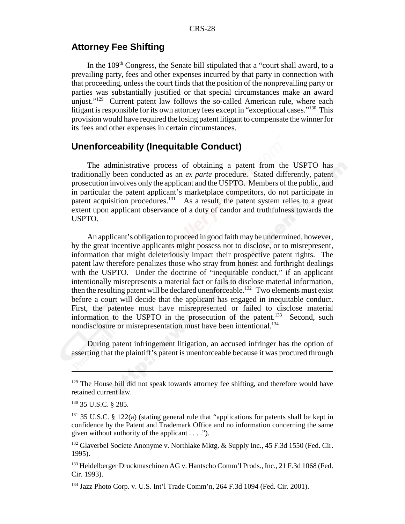## **Attorney Fee Shifting**

In the 109<sup>th</sup> Congress, the Senate bill stipulated that a "court shall award, to a prevailing party, fees and other expenses incurred by that party in connection with that proceeding, unless the court finds that the position of the nonprevailing party or parties was substantially justified or that special circumstances make an award unjust."<sup>129</sup> Current patent law follows the so-called American rule, where each litigant is responsible for its own attorney fees except in "exceptional cases."<sup>130</sup> This provision would have required the losing patent litigant to compensate the winner for its fees and other expenses in certain circumstances.

#### **Unenforceability (Inequitable Conduct)**

The administrative process of obtaining a patent from the USPTO has traditionally been conducted as an *ex parte* procedure. Stated differently, patent prosecution involves only the applicant and the USPTO. Members of the public, and in particular the patent applicant's marketplace competitors, do not participate in patent acquisition procedures.131 As a result, the patent system relies to a great extent upon applicant observance of a duty of candor and truthfulness towards the USPTO.

An applicant's obligation to proceed in good faith may be undermined, however, by the great incentive applicants might possess not to disclose, or to misrepresent, information that might deleteriously impact their prospective patent rights. The patent law therefore penalizes those who stray from honest and forthright dealings with the USPTO. Under the doctrine of "inequitable conduct," if an applicant intentionally misrepresents a material fact or fails to disclose material information, then the resulting patent will be declared unenforceable.<sup>132</sup> Two elements must exist before a court will decide that the applicant has engaged in inequitable conduct. First, the patentee must have misrepresented or failed to disclose material information to the USPTO in the prosecution of the patent.<sup>133</sup> Second, such nondisclosure or misrepresentation must have been intentional.<sup>134</sup>

During patent infringement litigation, an accused infringer has the option of asserting that the plaintiff's patent is unenforceable because it was procured through

 $129$  The House bill did not speak towards attorney fee shifting, and therefore would have retained current law.

<sup>130 35</sup> U.S.C. § 285.

 $131$  35 U.S.C. § 122(a) (stating general rule that "applications for patents shall be kept in confidence by the Patent and Trademark Office and no information concerning the same given without authority of the applicant . . . .").

<sup>&</sup>lt;sup>132</sup> Glaverbel Societe Anonyme v. Northlake Mktg. & Supply Inc., 45 F.3d 1550 (Fed. Cir. 1995).

<sup>133</sup> Heidelberger Druckmaschinen AG v. Hantscho Comm'l Prods., Inc., 21 F.3d 1068 (Fed. Cir. 1993).

<sup>134</sup> Jazz Photo Corp. v. U.S. Int'l Trade Comm'n, 264 F.3d 1094 (Fed. Cir. 2001).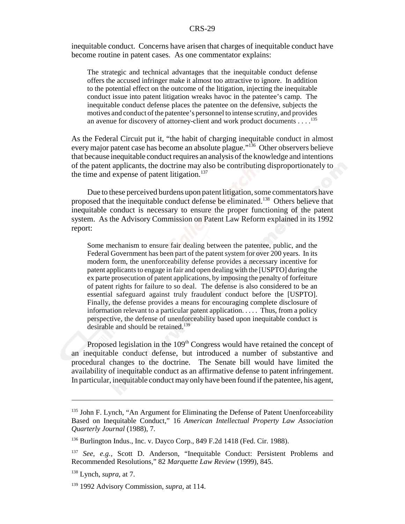inequitable conduct. Concerns have arisen that charges of inequitable conduct have become routine in patent cases. As one commentator explains:

The strategic and technical advantages that the inequitable conduct defense offers the accused infringer make it almost too attractive to ignore. In addition to the potential effect on the outcome of the litigation, injecting the inequitable conduct issue into patent litigation wreaks havoc in the patentee's camp. The inequitable conduct defense places the patentee on the defensive, subjects the motives and conduct of the patentee's personnel to intense scrutiny, and provides an avenue for discovery of attorney-client and work product documents . . . .135

As the Federal Circuit put it, "the habit of charging inequitable conduct in almost every major patent case has become an absolute plague."136 Other observers believe that because inequitable conduct requires an analysis of the knowledge and intentions of the patent applicants, the doctrine may also be contributing disproportionately to the time and expense of patent litigation.<sup>137</sup>

Due to these perceived burdens upon patent litigation, some commentators have proposed that the inequitable conduct defense be eliminated.138 Others believe that inequitable conduct is necessary to ensure the proper functioning of the patent system. As the Advisory Commission on Patent Law Reform explained in its 1992 report:

Some mechanism to ensure fair dealing between the patentee, public, and the Federal Government has been part of the patent system for over 200 years. In its modern form, the unenforceability defense provides a necessary incentive for patent applicants to engage in fair and open dealing with the [USPTO] during the ex parte prosecution of patent applications, by imposing the penalty of forfeiture of patent rights for failure to so deal. The defense is also considered to be an essential safeguard against truly fraudulent conduct before the [USPTO]. Finally, the defense provides a means for encouraging complete disclosure of information relevant to a particular patent application. . . . . Thus, from a policy perspective, the defense of unenforceability based upon inequitable conduct is desirable and should be retained.<sup>139</sup>

Proposed legislation in the  $109<sup>th</sup>$  Congress would have retained the concept of an inequitable conduct defense, but introduced a number of substantive and procedural changes to the doctrine. The Senate bill would have limited the availability of inequitable conduct as an affirmative defense to patent infringement. In particular, inequitable conduct may only have been found if the patentee, his agent,

<sup>&</sup>lt;sup>135</sup> John F. Lynch, "An Argument for Eliminating the Defense of Patent Unenforceability Based on Inequitable Conduct," 16 *American Intellectual Property Law Association Quarterly Journal* (1988), 7.

<sup>136</sup> Burlington Indus., Inc. v. Dayco Corp., 849 F.2d 1418 (Fed. Cir. 1988).

<sup>137</sup> *See, e.g.,* Scott D. Anderson, "Inequitable Conduct: Persistent Problems and Recommended Resolutions," 82 *Marquette Law Review* (1999), 845.

<sup>138</sup> Lynch, *supra*, at 7.

<sup>139 1992</sup> Advisory Commission, *supra*, at 114.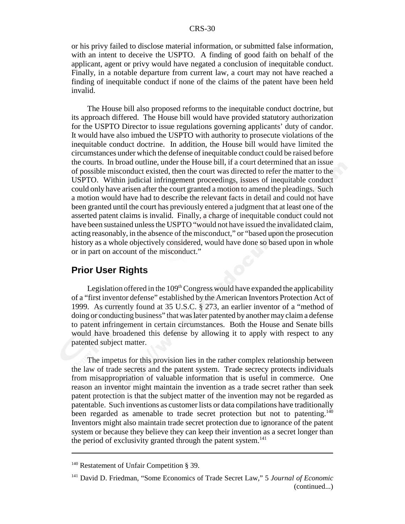or his privy failed to disclose material information, or submitted false information, with an intent to deceive the USPTO. A finding of good faith on behalf of the applicant, agent or privy would have negated a conclusion of inequitable conduct. Finally, in a notable departure from current law, a court may not have reached a finding of inequitable conduct if none of the claims of the patent have been held invalid.

The House bill also proposed reforms to the inequitable conduct doctrine, but its approach differed. The House bill would have provided statutory authorization for the USPTO Director to issue regulations governing applicants' duty of candor. It would have also imbued the USPTO with authority to prosecute violations of the inequitable conduct doctrine. In addition, the House bill would have limited the circumstances under which the defense of inequitable conduct could be raised before the courts. In broad outline, under the House bill, if a court determined that an issue of possible misconduct existed, then the court was directed to refer the matter to the USPTO. Within judicial infringement proceedings, issues of inequitable conduct could only have arisen after the court granted a motion to amend the pleadings. Such a motion would have had to describe the relevant facts in detail and could not have been granted until the court has previously entered a judgment that at least one of the asserted patent claims is invalid. Finally, a charge of inequitable conduct could not have been sustained unless the USPTO "would not have issued the invalidated claim, acting reasonably, in the absence of the misconduct," or "based upon the prosecution history as a whole objectively considered, would have done so based upon in whole or in part on account of the misconduct."

## **Prior User Rights**

Legislation offered in the  $109<sup>th</sup>$  Congress would have expanded the applicability of a "first inventor defense" established by the American Inventors Protection Act of 1999. As currently found at 35 U.S.C. § 273, an earlier inventor of a "method of doing or conducting business" that was later patented by another may claim a defense to patent infringement in certain circumstances. Both the House and Senate bills would have broadened this defense by allowing it to apply with respect to any patented subject matter.

The impetus for this provision lies in the rather complex relationship between the law of trade secrets and the patent system. Trade secrecy protects individuals from misappropriation of valuable information that is useful in commerce. One reason an inventor might maintain the invention as a trade secret rather than seek patent protection is that the subject matter of the invention may not be regarded as patentable. Such inventions as customer lists or data compilations have traditionally been regarded as amenable to trade secret protection but not to patenting.<sup>140</sup> Inventors might also maintain trade secret protection due to ignorance of the patent system or because they believe they can keep their invention as a secret longer than the period of exclusivity granted through the patent system. $141$ 

<sup>&</sup>lt;sup>140</sup> Restatement of Unfair Competition § 39.

<sup>141</sup> David D. Friedman, "Some Economics of Trade Secret Law," 5 *Journal of Economic* (continued...)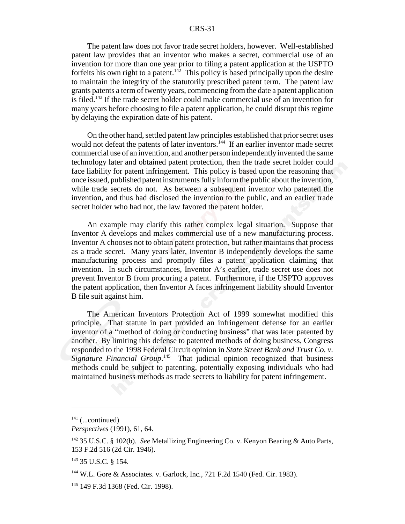The patent law does not favor trade secret holders, however. Well-established patent law provides that an inventor who makes a secret, commercial use of an invention for more than one year prior to filing a patent application at the USPTO forfeits his own right to a patent.<sup>142</sup> This policy is based principally upon the desire to maintain the integrity of the statutorily prescribed patent term. The patent law grants patents a term of twenty years, commencing from the date a patent application is filed.<sup>143</sup> If the trade secret holder could make commercial use of an invention for many years before choosing to file a patent application, he could disrupt this regime by delaying the expiration date of his patent.

On the other hand, settled patent law principles established that prior secret uses would not defeat the patents of later inventors.<sup>144</sup> If an earlier inventor made secret commercial use of an invention, and another person independently invented the same technology later and obtained patent protection, then the trade secret holder could face liability for patent infringement. This policy is based upon the reasoning that once issued, published patent instruments fully inform the public about the invention, while trade secrets do not. As between a subsequent inventor who patented the invention, and thus had disclosed the invention to the public, and an earlier trade secret holder who had not, the law favored the patent holder.

An example may clarify this rather complex legal situation. Suppose that Inventor A develops and makes commercial use of a new manufacturing process. Inventor A chooses not to obtain patent protection, but rather maintains that process as a trade secret. Many years later, Inventor B independently develops the same manufacturing process and promptly files a patent application claiming that invention. In such circumstances, Inventor A's earlier, trade secret use does not prevent Inventor B from procuring a patent. Furthermore, if the USPTO approves the patent application, then Inventor A faces infringement liability should Inventor B file suit against him.

The American Inventors Protection Act of 1999 somewhat modified this principle. That statute in part provided an infringement defense for an earlier inventor of a "method of doing or conducting business" that was later patented by another. By limiting this defense to patented methods of doing business, Congress responded to the 1998 Federal Circuit opinion in *State Street Bank and Trust Co. v.* Signature Financial Group.<sup>145</sup> That judicial opinion recognized that business methods could be subject to patenting, potentially exposing individuals who had maintained business methods as trade secrets to liability for patent infringement.

 $141$  (...continued)

*Perspectives* (1991), 61, 64.

<sup>142 35</sup> U.S.C. § 102(b). *See* Metallizing Engineering Co. v. Kenyon Bearing & Auto Parts, 153 F.2d 516 (2d Cir. 1946).

<sup>143 35</sup> U.S.C. § 154.

<sup>144</sup> W.L. Gore & Associates. v. Garlock, Inc*.*, 721 F.2d 1540 (Fed. Cir. 1983).

<sup>145 149</sup> F.3d 1368 (Fed. Cir. 1998).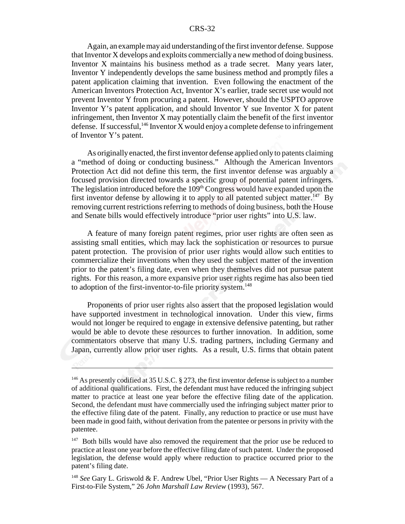Again, an example may aid understanding of the first inventor defense. Suppose that Inventor X develops and exploits commercially a new method of doing business. Inventor X maintains his business method as a trade secret. Many years later, Inventor Y independently develops the same business method and promptly files a patent application claiming that invention. Even following the enactment of the American Inventors Protection Act, Inventor X's earlier, trade secret use would not prevent Inventor Y from procuring a patent. However, should the USPTO approve Inventor Y's patent application, and should Inventor Y sue Inventor X for patent infringement, then Inventor X may potentially claim the benefit of the first inventor defense. If successful,  $^{146}$  Inventor X would enjoy a complete defense to infringement of Inventor Y's patent.

As originally enacted, the first inventor defense applied only to patents claiming a "method of doing or conducting business." Although the American Inventors Protection Act did not define this term, the first inventor defense was arguably a focused provision directed towards a specific group of potential patent infringers. The legislation introduced before the 109<sup>th</sup> Congress would have expanded upon the first inventor defense by allowing it to apply to all patented subject matter.<sup>147</sup> By removing current restrictions referring to methods of doing business, both the House and Senate bills would effectively introduce "prior user rights" into U.S. law.

A feature of many foreign patent regimes, prior user rights are often seen as assisting small entities, which may lack the sophistication or resources to pursue patent protection. The provision of prior user rights would allow such entities to commercialize their inventions when they used the subject matter of the invention prior to the patent's filing date, even when they themselves did not pursue patent rights. For this reason, a more expansive prior user rights regime has also been tied to adoption of the first-inventor-to-file priority system.<sup>148</sup>

Proponents of prior user rights also assert that the proposed legislation would have supported investment in technological innovation. Under this view, firms would not longer be required to engage in extensive defensive patenting, but rather would be able to devote these resources to further innovation. In addition, some commentators observe that many U.S. trading partners, including Germany and Japan, currently allow prior user rights. As a result, U.S. firms that obtain patent

<sup>&</sup>lt;sup>146</sup> As presently codified at 35 U.S.C. § 273, the first inventor defense is subject to a number of additional qualifications. First, the defendant must have reduced the infringing subject matter to practice at least one year before the effective filing date of the application. Second, the defendant must have commercially used the infringing subject matter prior to the effective filing date of the patent. Finally, any reduction to practice or use must have been made in good faith, without derivation from the patentee or persons in privity with the patentee.

 $147$  Both bills would have also removed the requirement that the prior use be reduced to practice at least one year before the effective filing date of such patent. Under the proposed legislation, the defense would apply where reduction to practice occurred prior to the patent's filing date.

<sup>148</sup> *See* Gary L. Griswold & F. Andrew Ubel, "Prior User Rights — A Necessary Part of a First-to-File System," 26 *John Marshall Law Review* (1993), 567.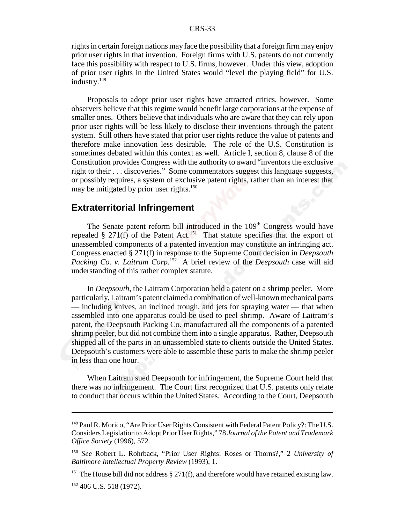rights in certain foreign nations may face the possibility that a foreign firm may enjoy prior user rights in that invention. Foreign firms with U.S. patents do not currently face this possibility with respect to U.S. firms, however. Under this view, adoption of prior user rights in the United States would "level the playing field" for U.S. industry.<sup>149</sup>

Proposals to adopt prior user rights have attracted critics, however. Some observers believe that this regime would benefit large corporations at the expense of smaller ones. Others believe that individuals who are aware that they can rely upon prior user rights will be less likely to disclose their inventions through the patent system. Still others have stated that prior user rights reduce the value of patents and therefore make innovation less desirable. The role of the U.S. Constitution is sometimes debated within this context as well. Article I, section 8, clause 8 of the Constitution provides Congress with the authority to award "inventors the exclusive right to their . . . discoveries." Some commentators suggest this language suggests, or possibly requires, a system of exclusive patent rights, rather than an interest that may be mitigated by prior user rights.<sup>150</sup>

#### **Extraterritorial Infringement**

The Senate patent reform bill introduced in the  $109<sup>th</sup>$  Congress would have repealed § 271(f) of the Patent Act.<sup>151</sup> That statute specifies that the export of unassembled components of a patented invention may constitute an infringing act. Congress enacted § 271(f) in response to the Supreme Court decision in *Deepsouth* Packing Co. v. Laitram Corp.<sup>152</sup> A brief review of the *Deepsouth* case will aid understanding of this rather complex statute.

In *Deepsouth*, the Laitram Corporation held a patent on a shrimp peeler. More particularly, Laitram's patent claimed a combination of well-known mechanical parts — including knives, an inclined trough, and jets for spraying water — that when assembled into one apparatus could be used to peel shrimp. Aware of Laitram's patent, the Deepsouth Packing Co. manufactured all the components of a patented shrimp peeler, but did not combine them into a single apparatus. Rather, Deepsouth shipped all of the parts in an unassembled state to clients outside the United States. Deepsouth's customers were able to assemble these parts to make the shrimp peeler in less than one hour.

When Laitram sued Deepsouth for infringement, the Supreme Court held that there was no infringement. The Court first recognized that U.S. patents only relate to conduct that occurs within the United States. According to the Court, Deepsouth

<sup>&</sup>lt;sup>149</sup> Paul R. Morico, "Are Prior User Rights Consistent with Federal Patent Policy?: The U.S. Considers Legislation to Adopt Prior User Rights," 78 *Journal of the Patent and Trademark Office Society* (1996), 572.

<sup>150</sup> *See* Robert L. Rohrback, "Prior User Rights: Roses or Thorns?," 2 *University of Baltimore Intellectual Property Review* (1993), 1.

<sup>&</sup>lt;sup>151</sup> The House bill did not address  $\S 271(f)$ , and therefore would have retained existing law.

<sup>&</sup>lt;sup>152</sup> 406 U.S. 518 (1972).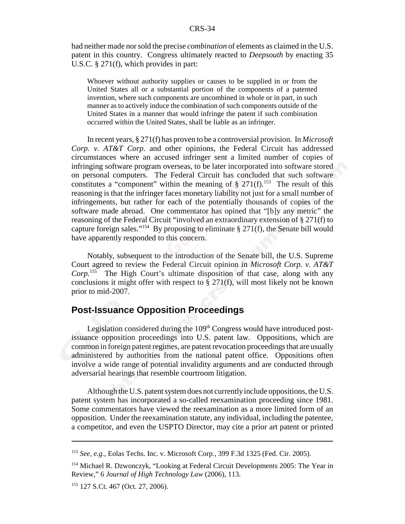had neither made nor sold the precise *combination* of elements as claimed in the U.S. patent in this country. Congress ultimately reacted to *Deepsouth* by enacting 35 U.S.C. § 271(f), which provides in part:

Whoever without authority supplies or causes to be supplied in or from the United States all or a substantial portion of the components of a patented invention, where such components are uncombined in whole or in part, in such manner as to actively induce the combination of such components outside of the United States in a manner that would infringe the patent if such combination occurred within the United States, shall be liable as an infringer.

In recent years, § 271(f) has proven to be a controversial provision. In *Microsoft Corp. v. AT&T Corp.* and other opinions, the Federal Circuit has addressed circumstances where an accused infringer sent a limited number of copies of infringing software program overseas, to be later incorporated into software stored on personal computers. The Federal Circuit has concluded that such software constitutes a "component" within the meaning of  $\S 271(f)$ <sup>153</sup>. The result of this reasoning is that the infringer faces monetary liability not just for a small number of infringements, but rather for each of the potentially thousands of copies of the software made abroad. One commentator has opined that "[b]y any metric" the reasoning of the Federal Circuit "involved an extraordinary extension of § 271(f) to capture foreign sales."<sup>154</sup> By proposing to eliminate  $\S 271(f)$ , the Senate bill would have apparently responded to this concern.

Notably, subsequent to the introduction of the Senate bill, the U.S. Supreme Court agreed to review the Federal Circuit opinion in *Microsoft Corp. v. AT&T Corp.*155 The High Court's ultimate disposition of that case, along with any conclusions it might offer with respect to  $\S 271(f)$ , will most likely not be known prior to mid-2007.

## **Post-Issuance Opposition Proceedings**

Legislation considered during the  $109<sup>th</sup>$  Congress would have introduced postissuance opposition proceedings into U.S. patent law. Oppositions, which are common in foreign patent regimes, are patent revocation proceedings that are usually administered by authorities from the national patent office. Oppositions often involve a wide range of potential invalidity arguments and are conducted through adversarial hearings that resemble courtroom litigation.

Although the U.S. patent system does not currently include oppositions, the U.S. patent system has incorporated a so-called reexamination proceeding since 1981. Some commentators have viewed the reexamination as a more limited form of an opposition. Under the reexamination statute, any individual, including the patentee, a competitor, and even the USPTO Director, may cite a prior art patent or printed

<sup>153</sup> *See, e.g.*, Eolas Techs. Inc. v. Microsoft Corp., 399 F.3d 1325 (Fed. Cir. 2005).

<sup>154</sup> Michael R. Dzwonczyk, "Looking at Federal Circuit Developments 2005: The Year in Review," 6 *Journal of High Technology Law* (2006), 113.

<sup>155 127</sup> S.Ct. 467 (Oct. 27, 2006).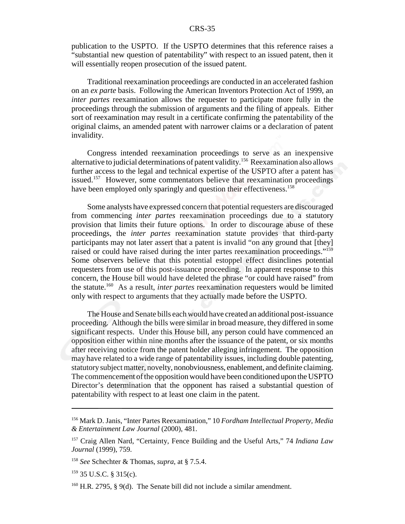publication to the USPTO. If the USPTO determines that this reference raises a "substantial new question of patentability" with respect to an issued patent, then it will essentially reopen prosecution of the issued patent.

Traditional reexamination proceedings are conducted in an accelerated fashion on an *ex parte* basis. Following the American Inventors Protection Act of 1999, an *inter partes* reexamination allows the requester to participate more fully in the proceedings through the submission of arguments and the filing of appeals. Either sort of reexamination may result in a certificate confirming the patentability of the original claims, an amended patent with narrower claims or a declaration of patent invalidity.

Congress intended reexamination proceedings to serve as an inexpensive alternative to judicial determinations of patent validity.156 Reexamination also allows further access to the legal and technical expertise of the USPTO after a patent has issued.<sup>157</sup> However, some commentators believe that reexamination proceedings have been employed only sparingly and question their effectiveness.<sup>158</sup>

Some analysts have expressed concern that potential requesters are discouraged from commencing *inter partes* reexamination proceedings due to a statutory provision that limits their future options. In order to discourage abuse of these proceedings, the *inter partes* reexamination statute provides that third-party participants may not later assert that a patent is invalid "on any ground that [they] raised or could have raised during the inter partes reexamination proceedings."<sup>159</sup> Some observers believe that this potential estoppel effect disinclines potential requesters from use of this post-issuance proceeding. In apparent response to this concern, the House bill would have deleted the phrase "or could have raised" from the statute.160 As a result, *inter partes* reexamination requesters would be limited only with respect to arguments that they actually made before the USPTO.

The House and Senate bills each would have created an additional post-issuance proceeding. Although the bills were similar in broad measure, they differed in some significant respects. Under this House bill, any person could have commenced an opposition either within nine months after the issuance of the patent, or six months after receiving notice from the patent holder alleging infringement. The opposition may have related to a wide range of patentability issues, including double patenting, statutory subject matter, novelty, nonobviousness, enablement, and definite claiming. The commencement of the opposition would have been conditioned upon the USPTO Director's determination that the opponent has raised a substantial question of patentability with respect to at least one claim in the patent.

<sup>156</sup> Mark D. Janis, "Inter Partes Reexamination," 10 *Fordham Intellectual Property, Media & Entertainment Law Journal* (2000), 481.

<sup>157</sup> Craig Allen Nard, "Certainty, Fence Building and the Useful Arts," 74 *Indiana Law Journal* (1999), 759.

<sup>158</sup> *See* Schechter & Thomas, *supra*, at § 7.5.4.

 $159$  35 U.S.C. § 315(c).

 $160$  H.R. 2795, § 9(d). The Senate bill did not include a similar amendment.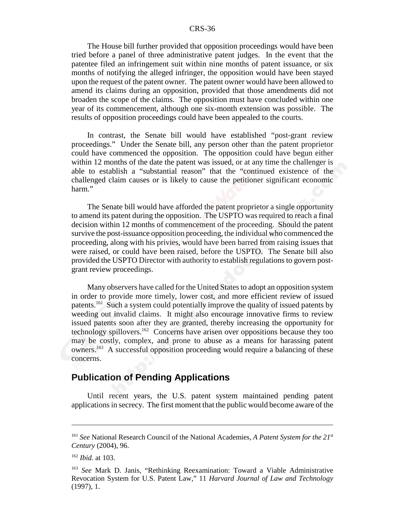The House bill further provided that opposition proceedings would have been tried before a panel of three administrative patent judges. In the event that the patentee filed an infringement suit within nine months of patent issuance, or six months of notifying the alleged infringer, the opposition would have been stayed upon the request of the patent owner. The patent owner would have been allowed to amend its claims during an opposition, provided that those amendments did not broaden the scope of the claims. The opposition must have concluded within one year of its commencement, although one six-month extension was possible. The results of opposition proceedings could have been appealed to the courts.

In contrast, the Senate bill would have established "post-grant review proceedings." Under the Senate bill, any person other than the patent proprietor could have commenced the opposition. The opposition could have begun either within 12 months of the date the patent was issued, or at any time the challenger is able to establish a "substantial reason" that the "continued existence of the challenged claim causes or is likely to cause the petitioner significant economic harm."

The Senate bill would have afforded the patent proprietor a single opportunity to amend its patent during the opposition. The USPTO was required to reach a final decision within 12 months of commencement of the proceeding. Should the patent survive the post-issuance opposition proceeding, the individual who commenced the proceeding, along with his privies, would have been barred from raising issues that were raised, or could have been raised, before the USPTO. The Senate bill also provided the USPTO Director with authority to establish regulations to govern postgrant review proceedings.

Many observers have called for the United States to adopt an opposition system in order to provide more timely, lower cost, and more efficient review of issued patents.<sup>161</sup> Such a system could potentially improve the quality of issued patents by weeding out invalid claims. It might also encourage innovative firms to review issued patents soon after they are granted, thereby increasing the opportunity for technology spillovers.162 Concerns have arisen over oppositions because they too may be costly, complex, and prone to abuse as a means for harassing patent owners.163 A successful opposition proceeding would require a balancing of these concerns.

## **Publication of Pending Applications**

Until recent years, the U.S. patent system maintained pending patent applications in secrecy. The first moment that the public would become aware of the

<sup>161</sup> *See* National Research Council of the National Academies, *A Patent System for the 21st Century* (2004), 96.

<sup>162</sup> *Ibid.* at 103.

<sup>163</sup> *See* Mark D. Janis, "Rethinking Reexamination: Toward a Viable Administrative Revocation System for U.S. Patent Law," 11 *Harvard Journal of Law and Technology* (1997), 1.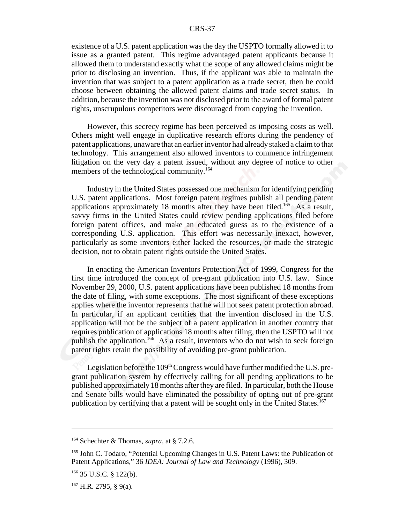existence of a U.S. patent application was the day the USPTO formally allowed it to issue as a granted patent. This regime advantaged patent applicants because it allowed them to understand exactly what the scope of any allowed claims might be prior to disclosing an invention. Thus, if the applicant was able to maintain the invention that was subject to a patent application as a trade secret, then he could choose between obtaining the allowed patent claims and trade secret status. In addition, because the invention was not disclosed prior to the award of formal patent rights, unscrupulous competitors were discouraged from copying the invention.

However, this secrecy regime has been perceived as imposing costs as well. Others might well engage in duplicative research efforts during the pendency of patent applications, unaware that an earlier inventor had already staked a claim to that technology. This arrangement also allowed inventors to commence infringement litigation on the very day a patent issued, without any degree of notice to other members of the technological community.<sup>164</sup>

Industry in the United States possessed one mechanism for identifying pending U.S. patent applications. Most foreign patent regimes publish all pending patent applications approximately 18 months after they have been filed.<sup>165</sup> As a result, savvy firms in the United States could review pending applications filed before foreign patent offices, and make an educated guess as to the existence of a corresponding U.S. application. This effort was necessarily inexact, however, particularly as some inventors either lacked the resources, or made the strategic decision, not to obtain patent rights outside the United States.

In enacting the American Inventors Protection Act of 1999, Congress for the first time introduced the concept of pre-grant publication into U.S. law. Since November 29, 2000, U.S. patent applications have been published 18 months from the date of filing, with some exceptions. The most significant of these exceptions applies where the inventor represents that he will not seek patent protection abroad. In particular, if an applicant certifies that the invention disclosed in the U.S. application will not be the subject of a patent application in another country that requires publication of applications 18 months after filing, then the USPTO will not publish the application.<sup>166</sup> As a result, inventors who do not wish to seek foreign patent rights retain the possibility of avoiding pre-grant publication.

Legislation before the  $109<sup>th</sup>$  Congress would have further modified the U.S. pregrant publication system by effectively calling for all pending applications to be published approximately 18 months after they are filed. In particular, both the House and Senate bills would have eliminated the possibility of opting out of pre-grant publication by certifying that a patent will be sought only in the United States.167

<sup>164</sup> Schechter & Thomas, *supra*, at § 7.2.6.

<sup>&</sup>lt;sup>165</sup> John C. Todaro, "Potential Upcoming Changes in U.S. Patent Laws: the Publication of Patent Applications," 36 *IDEA: Journal of Law and Technology* (1996), 309.

<sup>166 35</sup> U.S.C. § 122(b).

 $167$  H.R. 2795, § 9(a).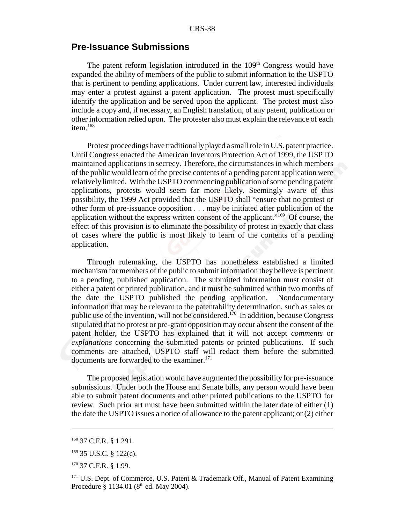#### **Pre-Issuance Submissions**

The patent reform legislation introduced in the  $109<sup>th</sup>$  Congress would have expanded the ability of members of the public to submit information to the USPTO that is pertinent to pending applications. Under current law, interested individuals may enter a protest against a patent application. The protest must specifically identify the application and be served upon the applicant. The protest must also include a copy and, if necessary, an English translation, of any patent, publication or other information relied upon. The protester also must explain the relevance of each item.<sup>168</sup>

Protest proceedings have traditionally played a small role in U.S. patent practice. Until Congress enacted the American Inventors Protection Act of 1999, the USPTO maintained applications in secrecy. Therefore, the circumstances in which members of the public would learn of the precise contents of a pending patent application were relatively limited. With the USPTO commencing publication of some pending patent applications, protests would seem far more likely. Seemingly aware of this possibility, the 1999 Act provided that the USPTO shall "ensure that no protest or other form of pre-issuance opposition . . . may be initiated after publication of the application without the express written consent of the applicant."169 Of course, the effect of this provision is to eliminate the possibility of protest in exactly that class of cases where the public is most likely to learn of the contents of a pending application.

Through rulemaking, the USPTO has nonetheless established a limited mechanism for members of the public to submit information they believe is pertinent to a pending, published application. The submitted information must consist of either a patent or printed publication, and it must be submitted within two months of the date the USPTO published the pending application. Nondocumentary information that may be relevant to the patentability determination, such as sales or public use of the invention, will not be considered.<sup>170</sup> In addition, because Congress stipulated that no protest or pre-grant opposition may occur absent the consent of the patent holder, the USPTO has explained that it will not accept *comments* or *explanations* concerning the submitted patents or printed publications. If such comments are attached, USPTO staff will redact them before the submitted documents are forwarded to the examiner.<sup>171</sup>

The proposed legislation would have augmented the possibility for pre-issuance submissions. Under both the House and Senate bills, any person would have been able to submit patent documents and other printed publications to the USPTO for review. Such prior art must have been submitted within the later date of either (1) the date the USPTO issues a notice of allowance to the patent applicant; or (2) either

<sup>168 37</sup> C.F.R. § 1.291.

<sup>169 35</sup> U.S.C. § 122(c).

 $170$  37 C.F.R. § 1.99.

<sup>&</sup>lt;sup>171</sup> U.S. Dept. of Commerce, U.S. Patent & Trademark Off., Manual of Patent Examining Procedure § 1134.01 ( $8<sup>th</sup>$  ed. May 2004).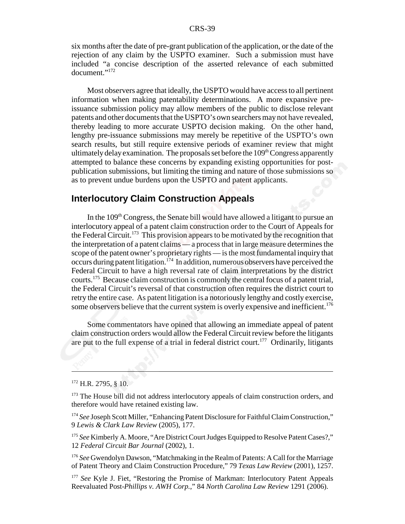six months after the date of pre-grant publication of the application, or the date of the rejection of any claim by the USPTO examiner. Such a submission must have included "a concise description of the asserted relevance of each submitted document."<sup>172</sup>

Most observers agree that ideally, the USPTO would have access to all pertinent information when making patentability determinations. A more expansive preissuance submission policy may allow members of the public to disclose relevant patents and other documents that the USPTO's own searchers may not have revealed, thereby leading to more accurate USPTO decision making. On the other hand, lengthy pre-issuance submissions may merely be repetitive of the USPTO's own search results, but still require extensive periods of examiner review that might ultimately delay examination. The proposals set before the  $109<sup>th</sup>$  Congress apparently attempted to balance these concerns by expanding existing opportunities for postpublication submissions, but limiting the timing and nature of those submissions so as to prevent undue burdens upon the USPTO and patent applicants.

## **Interlocutory Claim Construction Appeals**

In the  $109<sup>th</sup>$  Congress, the Senate bill would have allowed a litigant to pursue an interlocutory appeal of a patent claim construction order to the Court of Appeals for the Federal Circuit.<sup>173</sup> This provision appears to be motivated by the recognition that the interpretation of a patent claims — a process that in large measure determines the scope of the patent owner's proprietary rights — is the most fundamental inquiry that occurs during patent litigation.<sup>174</sup> In addition, numerous observers have perceived the Federal Circuit to have a high reversal rate of claim interpretations by the district courts.175 Because claim construction is commonly the central focus of a patent trial, the Federal Circuit's reversal of that construction often requires the district court to retry the entire case. As patent litigation is a notoriously lengthy and costly exercise, some observers believe that the current system is overly expensive and inefficient.<sup>176</sup>

Some commentators have opined that allowing an immediate appeal of patent claim construction orders would allow the Federal Circuit review before the litigants are put to the full expense of a trial in federal district court.<sup>177</sup> Ordinarily, litigants

 $172$  H.R. 2795,  $\frac{8}{10}$ .

<sup>&</sup>lt;sup>173</sup> The House bill did not address interlocutory appeals of claim construction orders, and therefore would have retained existing law.

<sup>&</sup>lt;sup>174</sup> See Joseph Scott Miller, "Enhancing Patent Disclosure for Faithful Claim Construction," 9 *Lewis & Clark Law Review* (2005), 177.

<sup>&</sup>lt;sup>175</sup> See Kimberly A. Moore, "Are District Court Judges Equipped to Resolve Patent Cases?," 12 *Federal Circuit Bar Journal* (2002), 1.

<sup>176</sup> *See* Gwendolyn Dawson, "Matchmaking in the Realm of Patents: A Call for the Marriage of Patent Theory and Claim Construction Procedure," 79 *Texas Law Review* (2001), 1257.

<sup>&</sup>lt;sup>177</sup> *See* Kyle J. Fiet, "Restoring the Promise of Markman: Interlocutory Patent Appeals Reevaluated Post-*Phillips v. AWH Corp.*," 84 *North Carolina Law Review* 1291 (2006).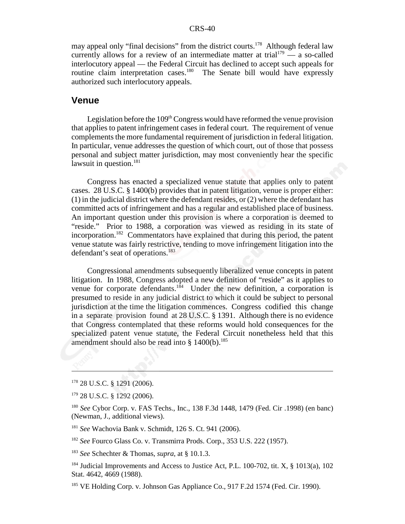may appeal only "final decisions" from the district courts.<sup>178</sup> Although federal law currently allows for a review of an intermediate matter at trial<sup>179</sup> — a so-called interlocutory appeal — the Federal Circuit has declined to accept such appeals for routine claim interpretation cases.<sup>180</sup> The Senate bill would have expressly authorized such interlocutory appeals.

#### **Venue**

Legislation before the  $109<sup>th</sup>$  Congress would have reformed the venue provision that applies to patent infringement cases in federal court. The requirement of venue complements the more fundamental requirement of jurisdiction in federal litigation. In particular, venue addresses the question of which court, out of those that possess personal and subject matter jurisdiction, may most conveniently hear the specific lawsuit in question. $^{181}$ 

Congress has enacted a specialized venue statute that applies only to patent cases. 28 U.S.C. § 1400(b) provides that in patent litigation, venue is proper either: (1) in the judicial district where the defendant resides, or (2) where the defendant has committed acts of infringement and has a regular and established place of business. An important question under this provision is where a corporation is deemed to "reside." Prior to 1988, a corporation was viewed as residing in its state of incorporation.<sup>182</sup> Commentators have explained that during this period, the patent venue statute was fairly restrictive, tending to move infringement litigation into the defendant's seat of operations.<sup>183</sup>

Congressional amendments subsequently liberalized venue concepts in patent litigation. In 1988, Congress adopted a new definition of "reside" as it applies to venue for corporate defendants.<sup>184</sup> Under the new definition, a corporation is presumed to reside in any judicial district to which it could be subject to personal jurisdiction at the time the litigation commences. Congress codified this change in a separate provision found at 28 U.S.C. § 1391. Although there is no evidence that Congress contemplated that these reforms would hold consequences for the specialized patent venue statute, the Federal Circuit nonetheless held that this amendment should also be read into  $\S$  1400(b).<sup>185</sup>

<sup>178 28</sup> U.S.C. § 1291 (2006).

<sup>179 28</sup> U.S.C. § 1292 (2006).

<sup>180</sup> *See* Cybor Corp. v. FAS Techs., Inc., 138 F.3d 1448, 1479 (Fed. Cir .1998) (en banc) (Newman, J., additional views).

<sup>181</sup> *See* Wachovia Bank v. Schmidt, 126 S. Ct. 941 (2006).

<sup>182</sup> *See* Fourco Glass Co. v. Transmirra Prods. Corp., 353 U.S. 222 (1957).

<sup>183</sup> *See* Schechter & Thomas, *supra*, at § 10.1.3.

<sup>&</sup>lt;sup>184</sup> Judicial Improvements and Access to Justice Act, P.L. 100-702, tit. X,  $\S$  1013(a), 102 Stat. 4642, 4669 (1988).

<sup>&</sup>lt;sup>185</sup> VE Holding Corp. v. Johnson Gas Appliance Co., 917 F.2d 1574 (Fed. Cir. 1990).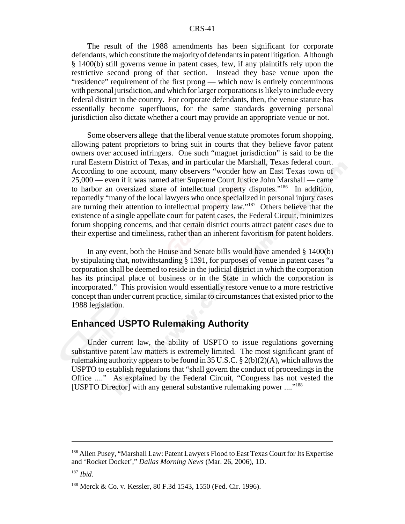The result of the 1988 amendments has been significant for corporate defendants, which constitute the majority of defendants in patent litigation. Although § 1400(b) still governs venue in patent cases, few, if any plaintiffs rely upon the restrictive second prong of that section. Instead they base venue upon the "residence" requirement of the first prong — which now is entirely conterminous with personal jurisdiction, and which for larger corporations is likely to include every federal district in the country. For corporate defendants, then, the venue statute has essentially become superfluous, for the same standards governing personal jurisdiction also dictate whether a court may provide an appropriate venue or not.

Some observers allege that the liberal venue statute promotes forum shopping, allowing patent proprietors to bring suit in courts that they believe favor patent owners over accused infringers. One such "magnet jurisdiction" is said to be the rural Eastern District of Texas, and in particular the Marshall, Texas federal court. According to one account, many observers "wonder how an East Texas town of 25,000 — even if it was named after Supreme Court Justice John Marshall — came to harbor an oversized share of intellectual property disputes."<sup>186</sup> In addition, reportedly "many of the local lawyers who once specialized in personal injury cases are turning their attention to intellectual property law."187 Others believe that the existence of a single appellate court for patent cases, the Federal Circuit, minimizes forum shopping concerns, and that certain district courts attract patent cases due to their expertise and timeliness, rather than an inherent favoritism for patent holders.

In any event, both the House and Senate bills would have amended § 1400(b) by stipulating that, notwithstanding § 1391, for purposes of venue in patent cases "a corporation shall be deemed to reside in the judicial district in which the corporation has its principal place of business or in the State in which the corporation is incorporated." This provision would essentially restore venue to a more restrictive concept than under current practice, similar to circumstances that existed prior to the 1988 legislation.

## **Enhanced USPTO Rulemaking Authority**

Under current law, the ability of USPTO to issue regulations governing substantive patent law matters is extremely limited. The most significant grant of rulemaking authority appears to be found in 35 U.S.C. § 2(b)(2)(A), which allows the USPTO to establish regulations that "shall govern the conduct of proceedings in the Office ...." As explained by the Federal Circuit, "Congress has not vested the [USPTO Director] with any general substantive rulemaking power ...."188

<sup>186</sup> Allen Pusey, "Marshall Law: Patent Lawyers Flood to East Texas Court for Its Expertise and 'Rocket Docket'," *Dallas Morning News* (Mar. 26, 2006), 1D.

<sup>187</sup> *Ibid.*

<sup>188</sup> Merck & Co. v. Kessler, 80 F.3d 1543, 1550 (Fed. Cir. 1996).